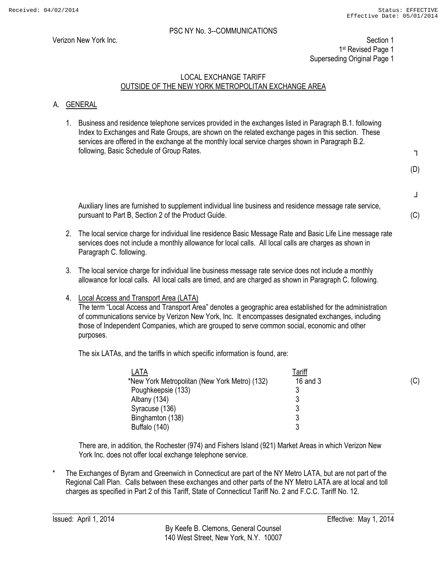Verizon New York Inc. Section 1 1st Revised Page 1 Superseding Original Page 1

# LOCAL EXCHANGE TARIFF OUTSIDE OF THE NEW YORK METROPOLITAN EXCHANGE AREA

# A. GENERAL

1. Business and residence telephone services provided in the exchanges listed in Paragraph B.1. following Index to Exchanges and Rate Groups, are shown on the related exchange pages in this section. These services are offered in the exchange at the monthly local service charges shown in Paragraph B.2. following, Basic Schedule of Group Rates.

┐

(D)

┘

(C)

- Auxiliary lines are furnished to supplement individual line business and residence message rate service, pursuant to Part B, Section 2 of the Product Guide.
- 2. The local service charge for individual line residence Basic Message Rate and Basic Life Line message rate services does not include a monthly allowance for local calls. All local calls are charges as shown in Paragraph C. following.
- 3. The local service charge for individual line business message rate service does not include a monthly allowance for local calls. All local calls are timed, and are charged as shown in Paragraph C. following.
- 4. Local Access and Transport Area (LATA)

The term "Local Access and Transport Area" denotes a geographic area established for the administration of communications service by Verizon New York, Inc. It encompasses designated exchanges, including those of Independent Companies, which are grouped to serve common social, economic and other purposes.

The six LATAs, and the tariffs in which specific information is found, are:

| LATA                                          | <u>Tariff</u> |     |
|-----------------------------------------------|---------------|-----|
| *New York Metropolitan (New York Metro) (132) | 16 and 3      | (C) |
| Poughkeepsie (133)                            |               |     |
| Albany (134)                                  |               |     |
| Syracuse (136)                                |               |     |
| Binghamton (138)                              |               |     |
| Buffalo (140)                                 |               |     |

There are, in addition, the Rochester (974) and Fishers Island (921) Market Areas in which Verizon New York Inc. does not offer local exchange telephone service.

The Exchanges of Byram and Greenwich in Connecticut are part of the NY Metro LATA, but are not part of the Regional Call Plan. Calls between these exchanges and other parts of the NY Metro LATA are at local and toll charges as specified in Part 2 of this Tariff, State of Connecticut Tariff No. 2 and F.C.C. Tariff No. 12.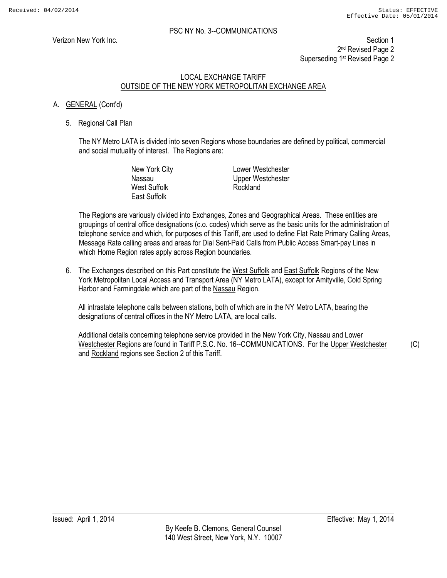Verizon New York Inc. **Section 1** 2<sup>nd</sup> Revised Page 2 Superseding 1st Revised Page 2

# LOCAL EXCHANGE TARIFF OUTSIDE OF THE NEW YORK METROPOLITAN EXCHANGE AREA

# A. GENERAL (Cont'd)

#### 5. Regional Call Plan

The NY Metro LATA is divided into seven Regions whose boundaries are defined by political, commercial and social mutuality of interest. The Regions are:

| New York City       | Lower Westchester |
|---------------------|-------------------|
| Nassau              | Upper Westchester |
| West Suffolk        | Rockland          |
| <b>East Suffolk</b> |                   |

The Regions are variously divided into Exchanges, Zones and Geographical Areas. These entities are groupings of central office designations (c.o. codes) which serve as the basic units for the administration of telephone service and which, for purposes of this Tariff, are used to define Flat Rate Primary Calling Areas, Message Rate calling areas and areas for Dial Sent-Paid Calls from Public Access Smart-pay Lines in which Home Region rates apply across Region boundaries.

6. The Exchanges described on this Part constitute the West Suffolk and East Suffolk Regions of the New York Metropolitan Local Access and Transport Area (NY Metro LATA), except for Amityville, Cold Spring Harbor and Farmingdale which are part of the Nassau Region.

All intrastate telephone calls between stations, both of which are in the NY Metro LATA, bearing the designations of central offices in the NY Metro LATA, are local calls.

Additional details concerning telephone service provided in the New York City, Nassau and Lower Westchester Regions are found in Tariff P.S.C. No. 16--COMMUNICATIONS. For the Upper Westchester and Rockland regions see Section 2 of this Tariff.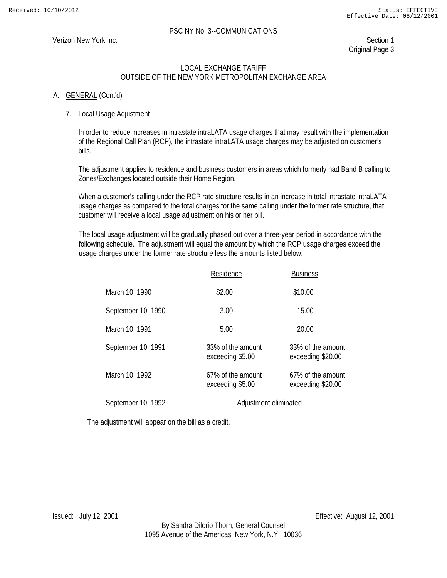#### Verizon New York Inc. Section 1

Original Page 3

#### LOCAL EXCHANGE TARIFF OUTSIDE OF THE NEW YORK METROPOLITAN EXCHANGE AREA

#### A. GENERAL (Cont'd)

#### 7. Local Usage Adjustment

In order to reduce increases in intrastate intraLATA usage charges that may result with the implementation of the Regional Call Plan (RCP), the intrastate intraLATA usage charges may be adjusted on customer's bills.

The adjustment applies to residence and business customers in areas which formerly had Band B calling to Zones/Exchanges located outside their Home Region.

When a customer's calling under the RCP rate structure results in an increase in total intrastate intraLATA usage charges as compared to the total charges for the same calling under the former rate structure, that customer will receive a local usage adjustment on his or her bill.

The local usage adjustment will be gradually phased out over a three-year period in accordance with the following schedule. The adjustment will equal the amount by which the RCP usage charges exceed the usage charges under the former rate structure less the amounts listed below.

|                    | Residence                             | <b>Business</b>                        |
|--------------------|---------------------------------------|----------------------------------------|
| March 10, 1990     | \$2.00                                | \$10.00                                |
| September 10, 1990 | 3.00                                  | 15.00                                  |
| March 10, 1991     | 5.00                                  | 20.00                                  |
| September 10, 1991 | 33% of the amount<br>exceeding \$5.00 | 33% of the amount<br>exceeding \$20.00 |
| March 10, 1992     | 67% of the amount<br>exceeding \$5.00 | 67% of the amount<br>exceeding \$20.00 |
| September 10, 1992 | Adjustment eliminated                 |                                        |

The adjustment will appear on the bill as a credit.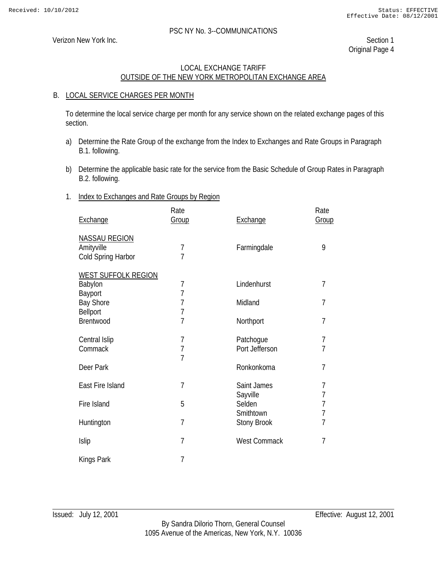Verizon New York Inc. Section 1

Original Page 4

# LOCAL EXCHANGE TARIFF OUTSIDE OF THE NEW YORK METROPOLITAN EXCHANGE AREA

#### B. LOCAL SERVICE CHARGES PER MONTH

 To determine the local service charge per month for any service shown on the related exchange pages of this section.

- a) Determine the Rate Group of the exchange from the Index to Exchanges and Rate Groups in Paragraph B.1. following.
- b) Determine the applicable basic rate for the service from the Basic Schedule of Group Rates in Paragraph B.2. following.

#### 1. Index to Exchanges and Rate Groups by Region

| Exchange                   | Rate<br>Group  | Exchange            | Rate<br>Group  |
|----------------------------|----------------|---------------------|----------------|
| <b>NASSAU REGION</b>       |                |                     |                |
| Amityville                 | 7              | Farmingdale         | 9              |
| Cold Spring Harbor         | $\overline{7}$ |                     |                |
| <b>WEST SUFFOLK REGION</b> |                |                     |                |
| Babylon                    | $\overline{1}$ | Lindenhurst         | $\overline{7}$ |
| Bayport                    | $\overline{1}$ |                     |                |
| <b>Bay Shore</b>           | $\overline{1}$ | Midland             | $\overline{1}$ |
| Bellport                   | $\overline{1}$ |                     |                |
| Brentwood                  | $\overline{7}$ | Northport           | 7              |
|                            |                |                     |                |
| Central Islip              | $\overline{7}$ | Patchogue           | $\overline{1}$ |
| Commack                    | $\overline{7}$ | Port Jefferson      | $\overline{1}$ |
|                            | $\overline{7}$ |                     |                |
| Deer Park                  |                | Ronkonkoma          | $\overline{7}$ |
|                            |                |                     |                |
| East Fire Island           | $\overline{1}$ | Saint James         | $\overline{1}$ |
|                            |                | Sayville            | $\overline{7}$ |
| Fire Island                | 5              | Selden              | $\frac{7}{7}$  |
|                            |                | Smithtown           |                |
| Huntington                 | 7              | <b>Stony Brook</b>  | $\overline{7}$ |
| Islip                      | $\overline{1}$ | <b>West Commack</b> | $\overline{7}$ |
|                            |                |                     |                |
| Kings Park                 | 7              |                     |                |
|                            |                |                     |                |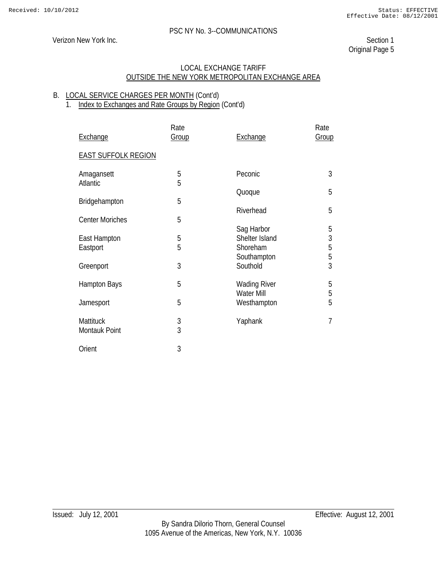# Verizon New York Inc. Section 1

Original Page 5

#### LOCAL EXCHANGE TARIFF OUTSIDE THE NEW YORK METROPOLITAN EXCHANGE AREA

#### B. LOCAL SERVICE CHARGES PER MONTH (Cont'd) 1. Index to Exchanges and Rate Groups by Region (Cont'd)

| Exchange                          | Rate<br>Group       | Exchange                                 | Rate<br>Group                                   |
|-----------------------------------|---------------------|------------------------------------------|-------------------------------------------------|
| <b>EAST SUFFOLK REGION</b>        |                     |                                          |                                                 |
| Amagansett<br><b>Atlantic</b>     | 5<br>5              | Peconic                                  | 3                                               |
| Bridgehampton                     | 5                   | Quoque                                   | 5                                               |
| <b>Center Moriches</b>            | 5                   | Riverhead                                | 5                                               |
| East Hampton<br>Eastport          | 5<br>5              | Sag Harbor<br>Shelter Island<br>Shoreham | 5<br>$\begin{array}{c} 3 \\ 5 \\ 3 \end{array}$ |
| Greenport                         | 3                   | Southampton<br>Southold                  |                                                 |
| <b>Hampton Bays</b>               | 5                   | <b>Wading River</b><br><b>Water Mill</b> | 5<br>5                                          |
| Jamesport                         | 5                   | Westhampton                              | $\overline{5}$                                  |
| <b>Mattituck</b><br>Montauk Point | 3<br>$\overline{3}$ | Yaphank                                  | $\overline{7}$                                  |
| Orient                            | 3                   |                                          |                                                 |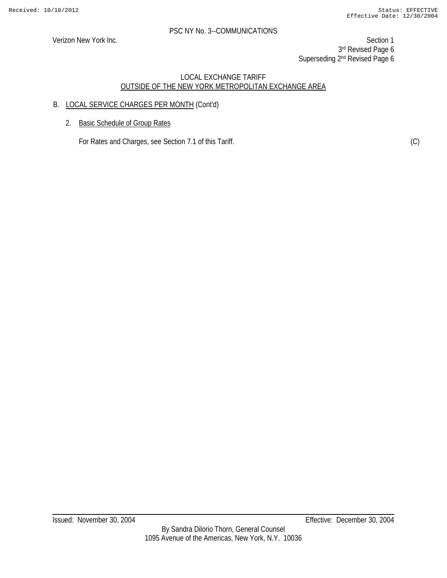Verizon New York Inc. Section 1 3rd Revised Page 6 Superseding 2<sup>nd</sup> Revised Page 6

# LOCAL EXCHANGE TARIFF OUTSIDE OF THE NEW YORK METROPOLITAN EXCHANGE AREA

# B. LOCAL SERVICE CHARGES PER MONTH (Cont'd)

2. Basic Schedule of Group Rates

For Rates and Charges, see Section 7.1 of this Tariff. (C) (C)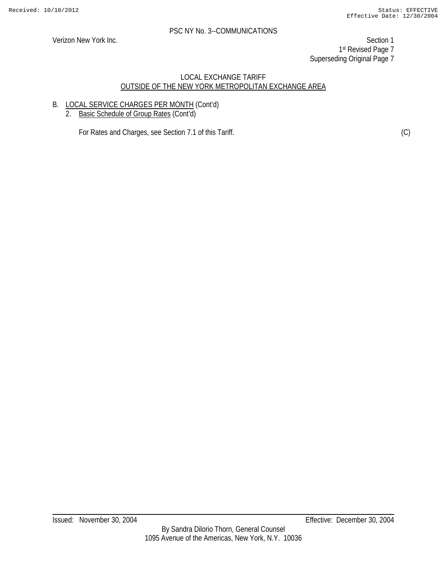Verizon New York Inc. **Section 1** 1st Revised Page 7 Superseding Original Page 7

# LOCAL EXCHANGE TARIFF OUTSIDE OF THE NEW YORK METROPOLITAN EXCHANGE AREA

# B. LOCAL SERVICE CHARGES PER MONTH (Cont'd)

2. Basic Schedule of Group Rates (Cont'd)

For Rates and Charges, see Section 7.1 of this Tariff. (C) (C)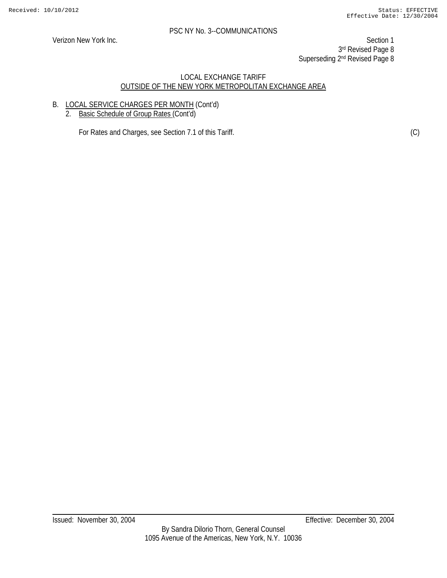Verizon New York Inc. **Section 1** 3rd Revised Page 8 Superseding 2<sup>nd</sup> Revised Page 8

#### LOCAL EXCHANGE TARIFF OUTSIDE OF THE NEW YORK METROPOLITAN EXCHANGE AREA

# B. LOCAL SERVICE CHARGES PER MONTH (Cont'd)

2. Basic Schedule of Group Rates (Cont'd)

For Rates and Charges, see Section 7.1 of this Tariff. (C) (C)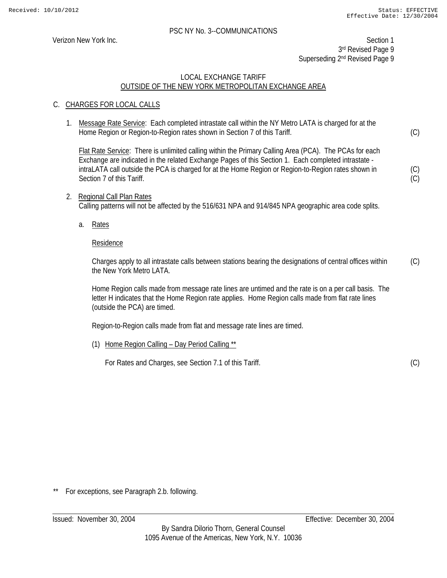Verizon New York Inc. Section 1 3rd Revised Page 9 Superseding 2<sup>nd</sup> Revised Page 9

# LOCAL EXCHANGE TARIFF OUTSIDE OF THE NEW YORK METROPOLITAN EXCHANGE AREA

# C. CHARGES FOR LOCAL CALLS

1. Message Rate Service: Each completed intrastate call within the NY Metro LATA is charged for at the Home Region or Region-to-Region rates shown in Section 7 of this Tariff.

 Flat Rate Service: There is unlimited calling within the Primary Calling Area (PCA). The PCAs for each Exchange are indicated in the related Exchange Pages of this Section 1. Each completed intrastate intraLATA call outside the PCA is charged for at the Home Region or Region-to-Region rates shown in Section 7 of this Tariff.

- 2. Regional Call Plan Rates Calling patterns will not be affected by the 516/631 NPA and 914/845 NPA geographic area code splits.
	- a. Rates

#### Residence

Charges apply to all intrastate calls between stations bearing the designations of central offices within the New York Metro LATA (C)

Home Region calls made from message rate lines are untimed and the rate is on a per call basis. The letter H indicates that the Home Region rate applies. Home Region calls made from flat rate lines (outside the PCA) are timed.

Region-to-Region calls made from flat and message rate lines are timed.

(1) Home Region Calling – Day Period Calling \*\*

For Rates and Charges, see Section 7.1 of this Tariff.

(C)

(C)

(C) (C)

For exceptions, see Paragraph 2.b. following.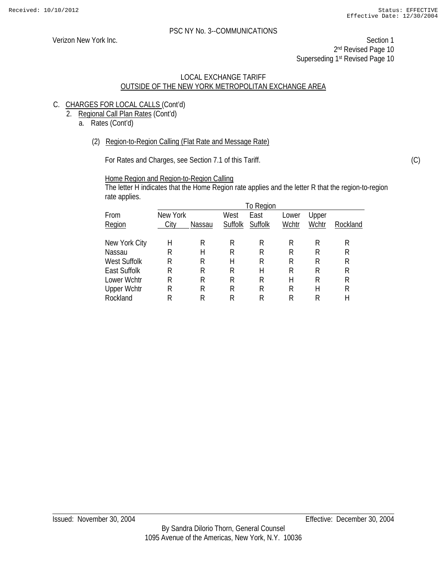Verizon New York Inc. Section 1 2<sup>nd</sup> Revised Page 10 Superseding 1<sup>st</sup> Revised Page 10

#### LOCAL EXCHANGE TARIFF OUTSIDE OF THE NEW YORK METROPOLITAN EXCHANGE AREA

- C. CHARGES FOR LOCAL CALLS (Cont'd)
	- 2. Regional Call Plan Rates (Cont'd)
		- a. Rates (Cont'd)
			- (2) Region-to-Region Calling (Flat Rate and Message Rate)

For Rates and Charges, see Section 7.1 of this Tariff.

Home Region and Region-to-Region Calling

The letter H indicates that the Home Region rate applies and the letter R that the region-to-region rate applies.

|                    |          |        |         | To Region |       |       |          |
|--------------------|----------|--------|---------|-----------|-------|-------|----------|
| From               | New York |        | West    | East      | Lower | Upper |          |
| Region             | City     | Nassau | Suffolk | Suffolk   | Wchtr | Wchtr | Rockland |
|                    |          |        |         |           |       |       |          |
| New York City      | Η        | R      | R       | R         | R     | R     | R        |
| Nassau             | R        | Н      | R       | R         | R     | R     | R        |
| West Suffolk       | R        | R      | Н       | R         | R     | R     | R        |
| East Suffolk       | R        | R      | R       | Н         | R     | R     | R        |
| Lower Wchtr        | R        | R      | R       | R         | Н     | R     | R        |
| <b>Upper Wchtr</b> | R        | R      | R       | R         | R     | Н     | R        |
| Rockland           | R        |        | R       | R         | R     | R     | Н        |

(C)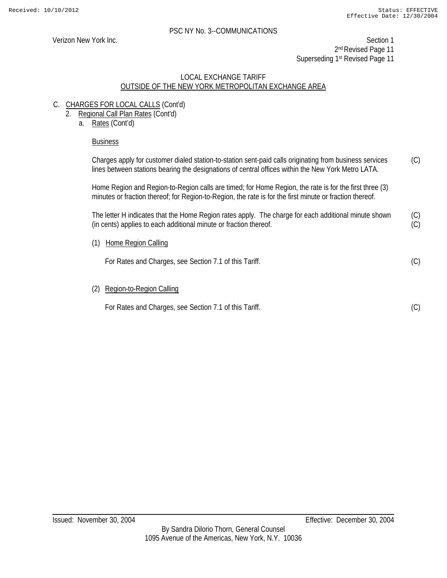(C)

#### PSC NY No. 3--COMMUNICATIONS

Verizon New York Inc. Section 1 2<sup>nd</sup> Revised Page 11 Superseding 1<sup>st</sup> Revised Page 11

#### LOCAL EXCHANGE TARIFF OUTSIDE OF THE NEW YORK METROPOLITAN EXCHANGE AREA

- C. CHARGES FOR LOCAL CALLS (Cont'd)
	- 2. Regional Call Plan Rates (Cont'd)
		- a. Rates (Cont'd)

#### Business

Charges apply for customer dialed station-to-station sent-paid calls originating from business services lines between stations bearing the designations of central offices within the New York Metro LATA. (C)

Home Region and Region-to-Region calls are timed; for Home Region, the rate is for the first three (3) minutes or fraction thereof; for Region-to-Region, the rate is for the first minute or fraction thereof.

The letter H indicates that the Home Region rates apply. The charge for each additional minute shown (in cents) applies to each additional minute or fraction thereof. (C) (C)

(1) Home Region Calling

For Rates and Charges, see Section 7.1 of this Tariff.

(2) Region-to-Region Calling

For Rates and Charges, see Section 7.1 of this Tariff.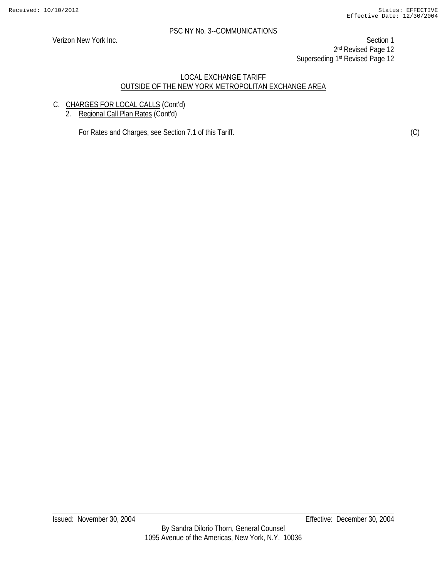Verizon New York Inc. Section 1 2<sup>nd</sup> Revised Page 12 Superseding 1st Revised Page 12

#### LOCAL EXCHANGE TARIFF OUTSIDE OF THE NEW YORK METROPOLITAN EXCHANGE AREA

- C. CHARGES FOR LOCAL CALLS (Cont'd)
	- 2. Regional Call Plan Rates (Cont'd)

For Rates and Charges, see Section 7.1 of this Tariff. (C)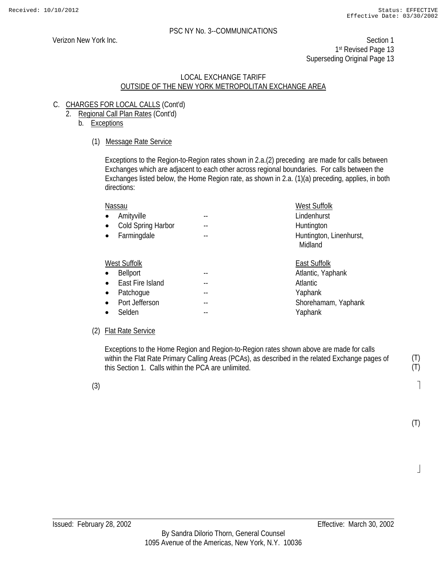Verizon New York Inc. Section 1 1st Revised Page 13 Superseding Original Page 13

#### LOCAL EXCHANGE TARIFF OUTSIDE OF THE NEW YORK METROPOLITAN EXCHANGE AREA

- C. CHARGES FOR LOCAL CALLS (Cont'd)
	- 2. Regional Call Plan Rates (Cont'd)
		- b. Exceptions

# (1) Message Rate Service

Exceptions to the Region-to-Region rates shown in 2.a.(2) preceding are made for calls between Exchanges which are adjacent to each other across regional boundaries. For calls between the Exchanges listed below, the Home Region rate, as shown in 2.a. (1)(a) preceding, applies, in both directions:

| Nassau             | <b>West Suffolk</b>                |
|--------------------|------------------------------------|
| Amityville         | Lindenhurst                        |
| Cold Spring Harbor | Huntington                         |
| Farmingdale        | Huntington, Linenhurst,<br>Midland |
| West Suffolk       | East Suffolk                       |
| <b>Bellport</b>    | Atlantic, Yaphank                  |
| East Fire Island   | Atlantic                           |
| Patchogue          | Yaphank                            |
| Port Jefferson     | Shorehamam, Yaphank                |
| Selden             | Yaphank                            |

# (2) Flat Rate Service

 Exceptions to the Home Region and Region-to-Region rates shown above are made for calls within the Flat Rate Primary Calling Areas (PCAs), as described in the related Exchange pages of this Section 1. Calls within the PCA are unlimited.

(3)

1

(T) (T)

(T)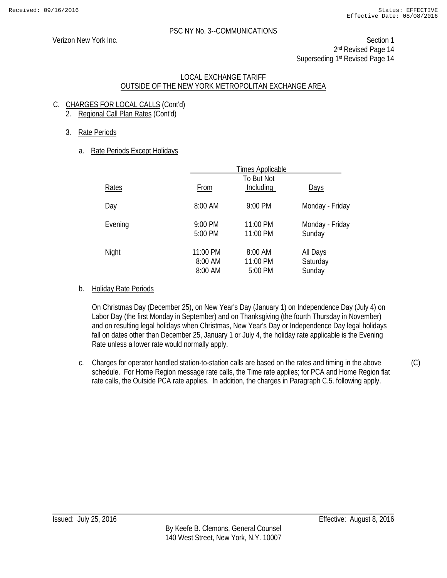Verizon New York Inc. Section 1 2<sup>nd</sup> Revised Page 14 Superseding 1st Revised Page 14

#### LOCAL EXCHANGE TARIFF OUTSIDE OF THE NEW YORK METROPOLITAN EXCHANGE AREA

- C. CHARGES FOR LOCAL CALLS (Cont'd)
	- 2. Regional Call Plan Rates (Cont'd)
	- 3. Rate Periods
		- a. Rate Periods Except Holidays

|         |                                | <b>Times Applicable</b>        |                                |
|---------|--------------------------------|--------------------------------|--------------------------------|
| Rates   | From                           | To But Not<br>Including        | <b>Days</b>                    |
| Day     | 8:00 AM                        | 9:00 PM                        | Monday - Friday                |
| Evening | 9:00 PM<br>5:00 PM             | 11:00 PM<br>11:00 PM           | Monday - Friday<br>Sunday      |
| Night   | 11:00 PM<br>8:00 AM<br>8:00 AM | 8:00 AM<br>11:00 PM<br>5:00 PM | All Days<br>Saturday<br>Sunday |

# b. Holiday Rate Periods

On Christmas Day (December 25), on New Year's Day (January 1) on Independence Day (July 4) on Labor Day (the first Monday in September) and on Thanksgiving (the fourth Thursday in November) and on resulting legal holidays when Christmas, New Year's Day or Independence Day legal holidays fall on dates other than December 25, January 1 or July 4, the holiday rate applicable is the Evening Rate unless a lower rate would normally apply.

c. Charges for operator handled station-to-station calls are based on the rates and timing in the above schedule. For Home Region message rate calls, the Time rate applies; for PCA and Home Region flat rate calls, the Outside PCA rate applies. In addition, the charges in Paragraph C.5. following apply.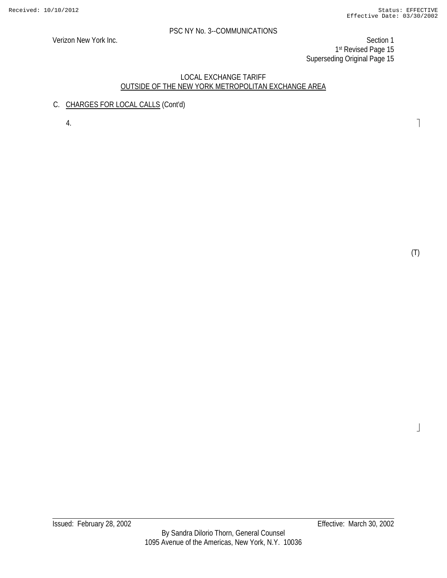Verizon New York Inc. Section 1 1st Revised Page 15 Superseding Original Page 15

#### LOCAL EXCHANGE TARIFF OUTSIDE OF THE NEW YORK METROPOLITAN EXCHANGE AREA

C. CHARGES FOR LOCAL CALLS (Cont'd)

4.

(T)

 $\frac{1}{2}$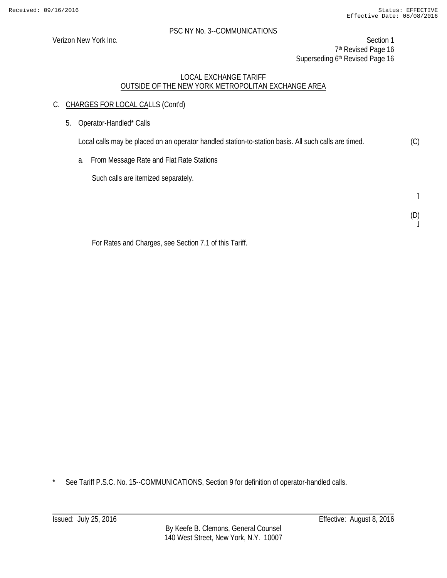Verizon New York Inc. Section 1 7<sup>th</sup> Revised Page 16 Superseding 6<sup>th</sup> Revised Page 16

# LOCAL EXCHANGE TARIFF OUTSIDE OF THE NEW YORK METROPOLITAN EXCHANGE AREA

- C. CHARGES FOR LOCAL CALLS (Cont'd)
	- 5. Operator-Handled\* Calls

Local calls may be placed on an operator handled station-to-station basis. All such calls are timed. (C)

a. From Message Rate and Flat Rate Stations

Such calls are itemized separately.

˥

(D)  $\overline{a}$ 

For Rates and Charges, see Section 7.1 of this Tariff.

\* See Tariff P.S.C. No. 15--COMMUNICATIONS, Section 9 for definition of operator-handled calls.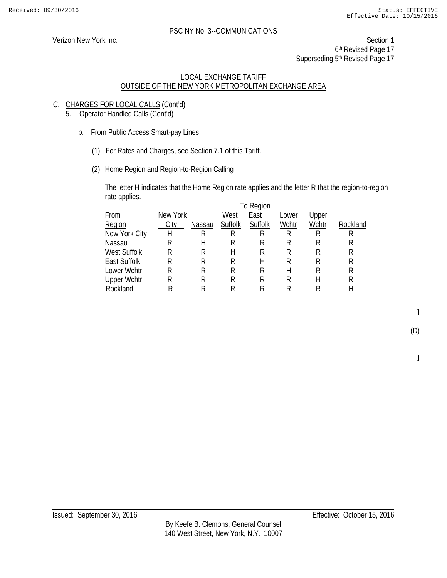Verizon New York Inc. Section 1 6<sup>th</sup> Revised Page 17 Superseding 5<sup>th</sup> Revised Page 17

# LOCAL EXCHANGE TARIFF OUTSIDE OF THE NEW YORK METROPOLITAN EXCHANGE AREA

- C. CHARGES FOR LOCAL CALLS (Cont'd)
	- 5. Operator Handled Calls (Cont'd)
		- b. From Public Access Smart-pay Lines
			- (1) For Rates and Charges, see Section 7.1 of this Tariff.
			- (2) Home Region and Region-to-Region Calling

The letter H indicates that the Home Region rate applies and the letter R that the region-to-region rate applies.

| New York |        | West    | East    | Lower     | Upper |          |
|----------|--------|---------|---------|-----------|-------|----------|
| City     | Nassau | Suffolk | Suffolk | Wchtr     | Wchtr | Rockland |
| Н        | R      | R       | R       | R         | R     | R        |
| R        | Н      | R       | R       | R         | R     | R        |
| R        | R      | Н       | R       | R         | R     | R        |
| R        | R      | R       | Н       | R         | R     | R        |
| R        | R      | R       | R       | Н         | R     | R        |
| R        | R      | R       | R       | R         | Н     | R        |
| R        | R      | R       | R       | R         | R     | Н        |
|          |        |         |         | To Region |       |          |

˥

(D)

 $\overline{a}$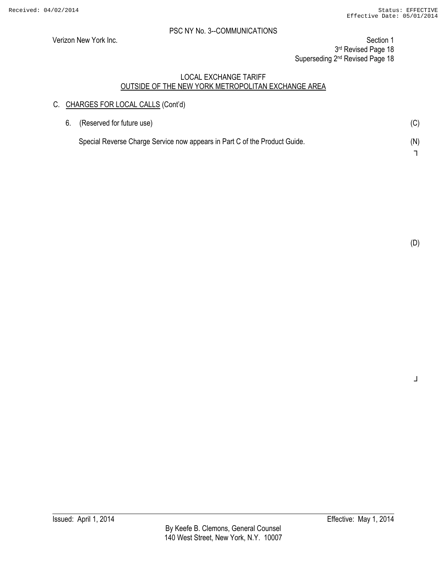Verizon New York Inc. Section 1

3rd Revised Page 18

Superseding 2<sup>nd</sup> Revised Page 18

#### LOCAL EXCHANGE TARIFF OUTSIDE OF THE NEW YORK METROPOLITAN EXCHANGE AREA

# C. CHARGES FOR LOCAL CALLS (Cont'd)

| 6. | (Reserved for future use)                                                  | (C) |
|----|----------------------------------------------------------------------------|-----|
|    | Special Reverse Charge Service now appears in Part C of the Product Guide. | (N) |
|    |                                                                            |     |

(D)

┘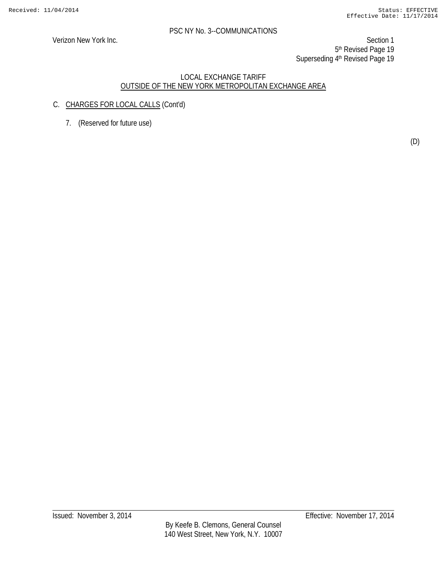Verizon New York Inc. Section 1 5<sup>th</sup> Revised Page 19 Superseding 4th Revised Page 19

- C. CHARGES FOR LOCAL CALLS (Cont'd)
	- 7. (Reserved for future use)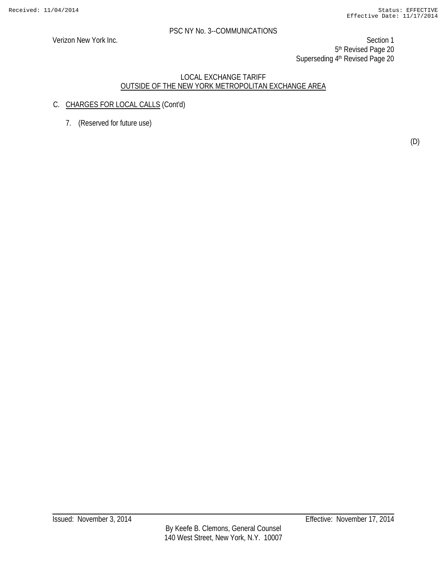Verizon New York Inc. Section 1 5<sup>th</sup> Revised Page 20 Superseding 4th Revised Page 20

- C. CHARGES FOR LOCAL CALLS (Cont'd)
	- 7. (Reserved for future use)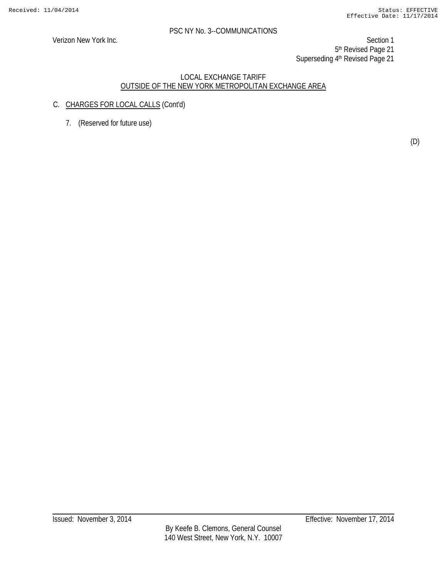Verizon New York Inc. Section 1 5<sup>th</sup> Revised Page 21 Superseding 4<sup>th</sup> Revised Page 21

- C. CHARGES FOR LOCAL CALLS (Cont'd)
	- 7. (Reserved for future use)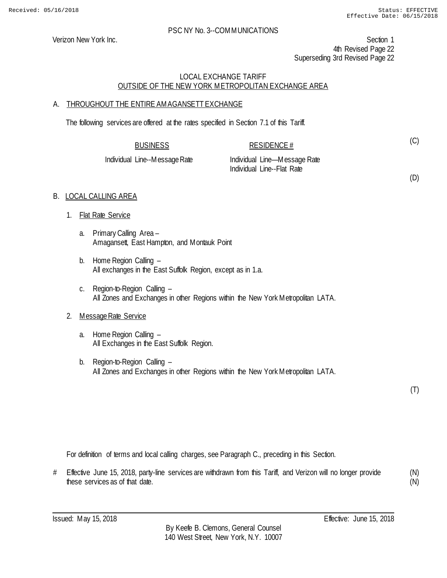Verizon New York Inc. Section 1 4th Revised Page 22 Superseding 3rd Revised Page 22

#### LOCAL EXCHANGE TARIFF OUTSIDE OF THE NEW YORK METROPOLITAN EXCHANGE AREA

# A. THROUGHOUT THE ENTIRE AMAGANSETT EXCHANGE

The following services are offered at the rates specified in Section 7.1 of this Tariff.

BUSINESS RESIDENCE #

Individual Line--Message Rate Individual Line—Message Rate Individual Line--Flat Rate

(D)

(C)

# B. LOCAL CALLING AREA

- 1. Flat Rate Service
	- a. Primary Calling Area Amagansett, East Hampton, and Montauk Point
	- b. Home Region Calling All exchanges in the East Suffolk Region, except as in 1.a.
	- c. Region-to-Region Calling All Zones and Exchanges in other Regions within the New York Metropolitan LATA.

# 2. Message Rate Service

- a. Home Region Calling All Exchanges in the East Suffolk Region.
- b. Region-to-Region Calling All Zones and Exchanges in other Regions within the New York Metropolitan LATA.

(T)

For definition of terms and local calling charges, see Paragraph C., preceding in this Section.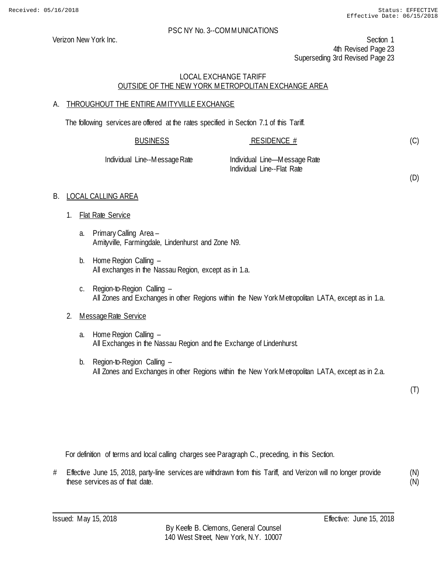Verizon New York Inc. Section 1 4th Revised Page 23 Superseding 3rd Revised Page 23

# LOCAL EXCHANGE TARIFF OUTSIDE OF THE NEW YORK METROPOLITAN EXCHANGE AREA

# A. THROUGHOUT THE ENTIRE AMITYVILLE EXCHANGE

The following services are offered at the rates specified in Section 7.1 of this Tariff.

| <b>BUSINESS</b>               | RESIDENCE #                                                | (C) |
|-------------------------------|------------------------------------------------------------|-----|
| Individual Line--Message Rate | Individual Line—Message Rate<br>Individual Line--Flat Rate |     |

#### B. LOCAL CALLING AREA

- 1. Flat Rate Service
	- a. Primary Calling Area Amityville, Farmingdale, Lindenhurst and Zone N9.
	- b. Home Region Calling All exchanges in the Nassau Region, except as in 1.a.
	- c. Region-to-Region Calling All Zones and Exchanges in other Regions within the New York Metropolitan LATA, except as in 1.a.

#### 2. Message Rate Service

- a. Home Region Calling All Exchanges in the Nassau Region and the Exchange of Lindenhurst.
- b. Region-to-Region Calling All Zones and Exchanges in other Regions within the New York Metropolitan LATA, except as in 2.a.

(T)

(D)

For definition of terms and local calling charges see Paragraph C., preceding, in this Section.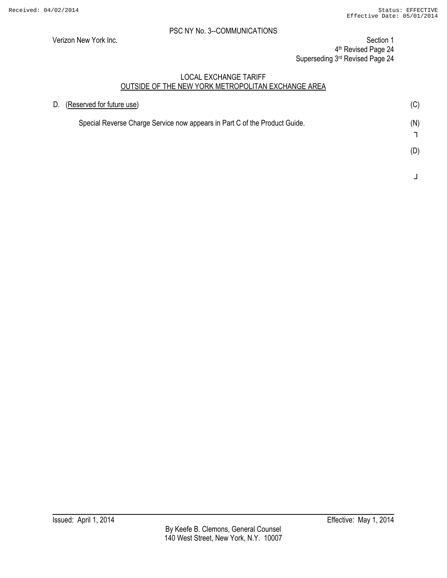Verizon New York Inc. Section 1 4th Revised Page 24 Superseding 3rd Revised Page 24

| D. | (Reserved for future use)                                                  | (C) |
|----|----------------------------------------------------------------------------|-----|
|    | Special Reverse Charge Service now appears in Part C of the Product Guide. | (N) |
|    |                                                                            | (D) |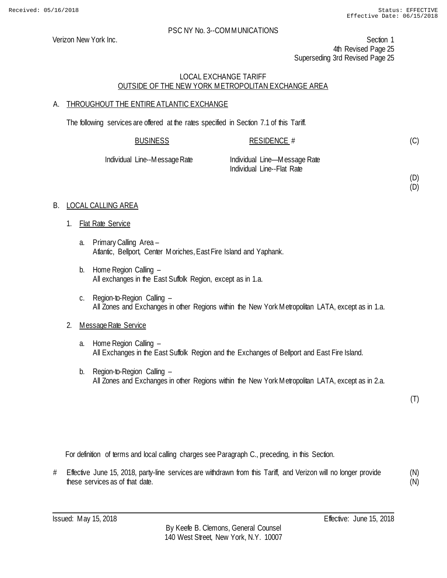(D) (D)

#### PSC NY No. 3--COMMUNICATIONS

Verizon New York Inc. Section 1 4th Revised Page 25 Superseding 3rd Revised Page 25

# LOCAL EXCHANGE TARIFF OUTSIDE OF THE NEW YORK METROPOLITAN EXCHANGE AREA

# A. THROUGHOUT THE ENTIRE ATLANTIC EXCHANGE

The following services are offered at the rates specified in Section 7.1 of this Tariff.

| <b>BUSINESS</b>               | RESIDENCE $#$                                              |
|-------------------------------|------------------------------------------------------------|
| Individual Line--Message Rate | Individual Line—Message Rate<br>Individual Line--Flat Rate |

# B. LOCAL CALLING AREA

- 1. Flat Rate Service
	- a. Primary Calling Area Atlantic, Bellport, Center Moriches, East Fire Island and Yaphank.
	- b. Home Region Calling All exchanges in the East Suffolk Region, except as in 1.a.
	- c. Region-to-Region Calling All Zones and Exchanges in other Regions within the New York Metropolitan LATA, except as in 1.a.

# 2. Message Rate Service

- a. Home Region Calling All Exchanges in the East Suffolk Region and the Exchanges of Bellport and East Fire Island.
- b. Region-to-Region Calling All Zones and Exchanges in other Regions within the New York Metropolitan LATA, except as in 2.a.

(T)

For definition of terms and local calling charges see Paragraph C., preceding, in this Section.

# Effective June 15, 2018, party-line services are withdrawn from this Tariff, and Verizon will no longer provide these services as of that date. (N)

(N)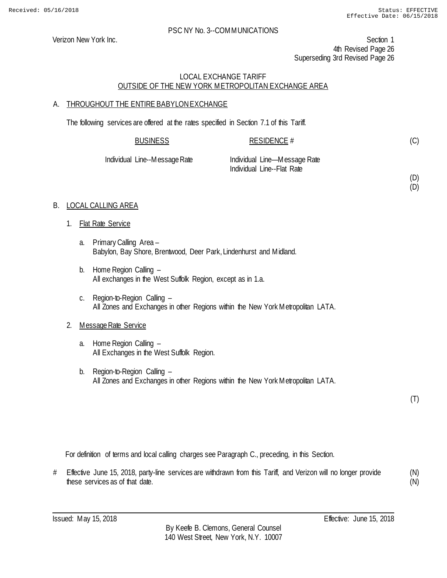(D) (D)

#### PSC NY No. 3--COMMUNICATIONS

Verizon New York Inc. Section 1 4th Revised Page 26 Superseding 3rd Revised Page 26

# LOCAL EXCHANGE TARIFF OUTSIDE OF THE NEW YORK METROPOLITAN EXCHANGE AREA

# A. THROUGHOUT THE ENTIRE BABYLONEXCHANGE

The following services are offered at the rates specified in Section 7.1 of this Tariff.

| <b>BUSINESS</b>               | RESIDENCE #                                                |
|-------------------------------|------------------------------------------------------------|
| Individual Line--Message Rate | Individual Line—Message Rate<br>Individual Line--Flat Rate |

#### B. LOCAL CALLING AREA

- 1. Flat Rate Service
	- a. Primary Calling Area Babylon, Bay Shore, Brentwood, Deer Park, Lindenhurst and Midland.
	- b. Home Region Calling All exchanges in the West Suffolk Region, except as in 1.a.
	- c. Region-to-Region Calling All Zones and Exchanges in other Regions within the New York Metropolitan LATA.

# 2. Message Rate Service

- a. Home Region Calling All Exchanges in the West Suffolk Region.
- b. Region-to-Region Calling All Zones and Exchanges in other Regions within the New York Metropolitan LATA.

(T)

For definition of terms and local calling charges see Paragraph C., preceding, in this Section.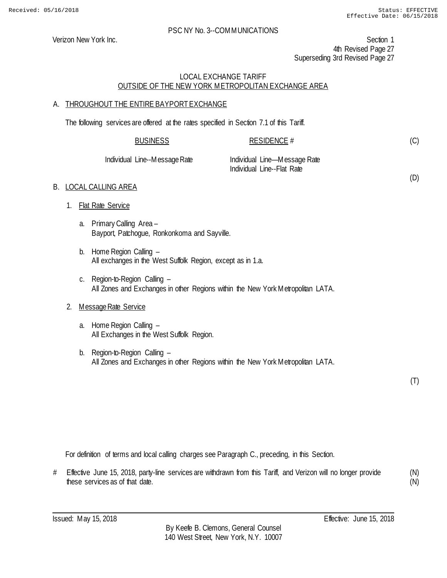(D)

#### PSC NY No. 3--COMMUNICATIONS

Verizon New York Inc. Section 1 4th Revised Page 27 Superseding 3rd Revised Page 27

# LOCAL EXCHANGE TARIFF OUTSIDE OF THE NEW YORK METROPOLITAN EXCHANGE AREA

# A. THROUGHOUT THE ENTIRE BAYPORT EXCHANGE

The following services are offered at the rates specified in Section 7.1 of this Tariff.

| <b>BUSINESS</b>               | RESIDENCE #                                                |
|-------------------------------|------------------------------------------------------------|
| Individual Line--Message Rate | Individual Line—Message Rate<br>Individual Line--Flat Rate |

# B. LOCAL CALLING AREA

- 1. Flat Rate Service
	- a. Primary Calling Area Bayport, Patchogue, Ronkonkoma and Sayville.
	- b. Home Region Calling All exchanges in the West Suffolk Region, except as in 1.a.
	- c. Region-to-Region Calling All Zones and Exchanges in other Regions within the New York Metropolitan LATA.

# 2. Message Rate Service

- a. Home Region Calling All Exchanges in the West Suffolk Region.
- b. Region-to-Region Calling All Zones and Exchanges in other Regions within the New York Metropolitan LATA.

(T)

For definition of terms and local calling charges see Paragraph C., preceding, in this Section.

# Effective June 15, 2018, party-line services are withdrawn from this Tariff, and Verizon will no longer provide these services as of that date. (N)

(N)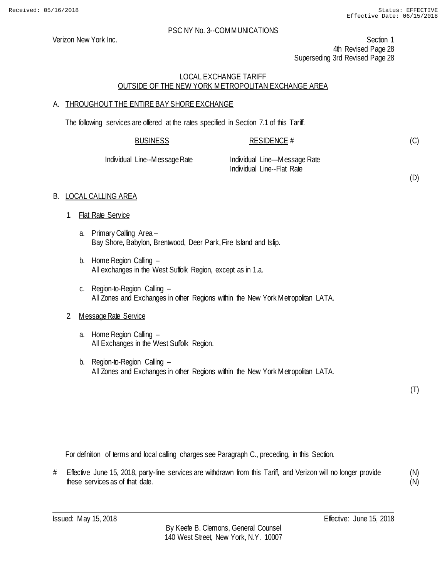(D)

#### PSC NY No. 3--COMMUNICATIONS

Verizon New York Inc. Section 1 4th Revised Page 28 Superseding 3rd Revised Page 28

# LOCAL EXCHANGE TARIFF OUTSIDE OF THE NEW YORK METROPOLITAN EXCHANGE AREA

# A. THROUGHOUT THE ENTIRE BAY SHORE EXCHANGE

The following services are offered at the rates specified in Section 7.1 of this Tariff.

| <b>BUSINESS</b>    | RESIDENCE #                                                |
|--------------------|------------------------------------------------------------|
| Line--Message Rate | Individual Line—Message Rate<br>Individual Line--Flat Rate |

# B. LOCAL CALLING AREA

1. Flat Rate Service

**Individual** 

- a. Primary Calling Area Bay Shore, Babylon, Brentwood, Deer Park, Fire Island and Islip.
- b. Home Region Calling All exchanges in the West Suffolk Region, except as in 1.a.
- c. Region-to-Region Calling All Zones and Exchanges in other Regions within the New York Metropolitan LATA.

# 2. Message Rate Service

- a. Home Region Calling All Exchanges in the West Suffolk Region.
- b. Region-to-Region Calling All Zones and Exchanges in other Regions within the New York Metropolitan LATA.

(T)

For definition of terms and local calling charges see Paragraph C., preceding, in this Section.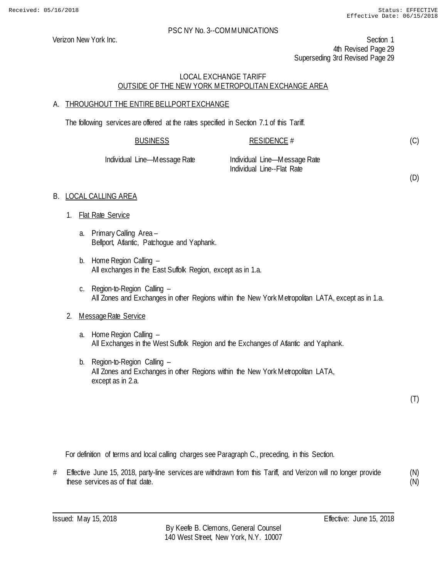(D)

#### PSC NY No. 3--COMMUNICATIONS

Verizon New York Inc. Section 1 4th Revised Page 29 Superseding 3rd Revised Page 29

# LOCAL EXCHANGE TARIFF OUTSIDE OF THE NEW YORK METROPOLITAN EXCHANGE AREA

# A. THROUGHOUT THE ENTIRE BELLPORT EXCHANGE

The following services are offered at the rates specified in Section 7.1 of this Tariff.

| <b>BUSINESS</b>              | RESIDENCE #                                                |  |
|------------------------------|------------------------------------------------------------|--|
| Individual Line—Message Rate | Individual Line—Message Rate<br>Individual Line--Flat Rate |  |

#### B. LOCAL CALLING AREA

- 1. Flat Rate Service
	- a. Primary Calling Area Bellport, Atlantic, Patchogue and Yaphank.
	- b. Home Region Calling All exchanges in the East Suffolk Region, except as in 1.a.
	- c. Region-to-Region Calling All Zones and Exchanges in other Regions within the New York Metropolitan LATA, except as in 1.a.

#### 2. Message Rate Service

- a. Home Region Calling All Exchanges in the West Suffolk Region and the Exchanges of Atlantic and Yaphank.
- b. Region-to-Region Calling All Zones and Exchanges in other Regions within the New York Metropolitan LATA, except as in 2.a.

(T)

For definition of terms and local calling charges see Paragraph C., preceding, in this Section.

# Effective June 15, 2018, party-line services are withdrawn from this Tariff, and Verizon will no longer provide these services as of that date. (N) (N)

Issued: May 15, 2018 Effective: June 15, 2018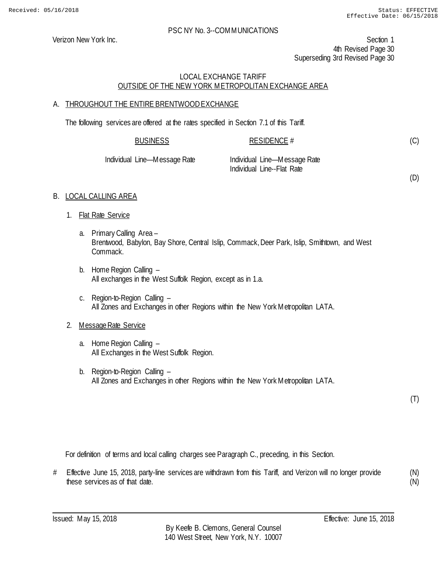Verizon New York Inc. Section 1 4th Revised Page 30 Superseding 3rd Revised Page 30

# LOCAL EXCHANGE TARIFF OUTSIDE OF THE NEW YORK METROPOLITAN EXCHANGE AREA

# A. THROUGHOUT THE ENTIRE BRENTWOOD EXCHANGE

The following services are offered at the rates specified in Section 7.1 of this Tariff.

| <b>BUSINESS</b>                                                                                                                                                                                                                                                                                                                    | RESIDENCE #                                    |  |
|------------------------------------------------------------------------------------------------------------------------------------------------------------------------------------------------------------------------------------------------------------------------------------------------------------------------------------|------------------------------------------------|--|
| $\mathbf{L}$ $\mathbf{L}$ $\mathbf{L}$ $\mathbf{L}$ $\mathbf{L}$ $\mathbf{L}$ $\mathbf{L}$ $\mathbf{L}$ $\mathbf{L}$ $\mathbf{L}$ $\mathbf{L}$ $\mathbf{L}$ $\mathbf{L}$ $\mathbf{L}$ $\mathbf{L}$ $\mathbf{L}$ $\mathbf{L}$ $\mathbf{L}$ $\mathbf{L}$ $\mathbf{L}$ $\mathbf{L}$ $\mathbf{L}$ $\mathbf{L}$ $\mathbf{L}$ $\mathbf{$ | the alleged and the contract the Marine Market |  |

| Individual Line—Message Rate | Individual Line-Message Rate |
|------------------------------|------------------------------|
|                              | Individual Line--Flat Rate   |

(D)

(C)

# B. LOCAL CALLING AREA

- 1. Flat Rate Service
	- a. Primary Calling Area Brentwood, Babylon, Bay Shore, Central Islip, Commack, Deer Park, Islip, Smithtown, and West Commack.
	- b. Home Region Calling All exchanges in the West Suffolk Region, except as in 1.a.
	- c. Region-to-Region Calling All Zones and Exchanges in other Regions within the New York Metropolitan LATA.

# 2. Message Rate Service

- a. Home Region Calling All Exchanges in the West Suffolk Region.
- b. Region-to-Region Calling All Zones and Exchanges in other Regions within the New York Metropolitan LATA.

(T)

For definition of terms and local calling charges see Paragraph C., preceding, in this Section.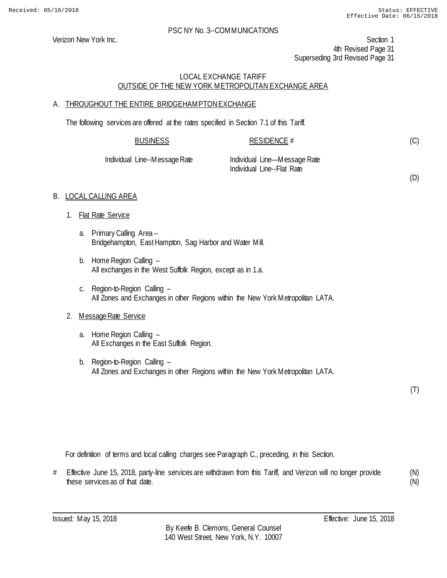Verizon New York Inc. Section 1 4th Revised Page 31 Superseding 3rd Revised Page 31

# LOCAL EXCHANGE TARIFF OUTSIDE OF THE NEW YORK METROPOLITAN EXCHANGE AREA

# A. THROUGHOUT THE ENTIRE BRIDGEHAMPTON EXCHANGE

The following services are offered at the rates specified in Section 7.1 of this Tariff.

| <b>BUSINESS</b>                 | <b>RESIDENCE #</b>                                                  |  |
|---------------------------------|---------------------------------------------------------------------|--|
| $1 + \frac{1}{2}$ . Mossos Dets | the distributed of the construction of the Market Market and Market |  |

Individual Line--Message Rate Individual Line—Message Rate

Individual Line--Flat Rate

(D)

(C)

# B. LOCAL CALLING AREA

- 1. Flat Rate Service
	- a. Primary Calling Area Bridgehampton, East Hampton, Sag Harbor and Water Mill.
	- b. Home Region Calling All exchanges in the West Suffolk Region, except as in 1.a.
	- c. Region-to-Region Calling All Zones and Exchanges in other Regions within the New York Metropolitan LATA.

# 2. Message Rate Service

- a. Home Region Calling All Exchanges in the East Suffolk Region.
- b. Region-to-Region Calling All Zones and Exchanges in other Regions within the New York Metropolitan LATA.

(T)

For definition of terms and local calling charges see Paragraph C., preceding, in this Section.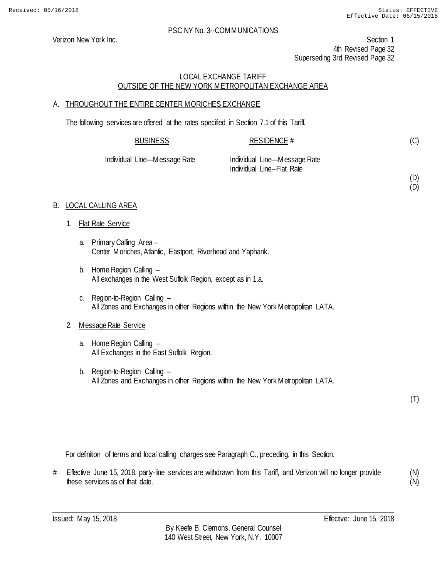(D) (D)

#### PSC NY No. 3--COMMUNICATIONS

Verizon New York Inc. Section 1 4th Revised Page 32 Superseding 3rd Revised Page 32

# LOCAL EXCHANGE TARIFF OUTSIDE OF THE NEW YORK METROPOLITAN EXCHANGE AREA

# A. THROUGHOUT THE ENTIRE CENTER MORICHES EXCHANGE

The following services are offered at the rates specified in Section 7.1 of this Tariff.

| <b>BUSINESS</b> |          | <b>RESIDENCE #</b> |  |
|-----------------|----------|--------------------|--|
| .<br>.          | $\sim$ . | .<br>$\sim$ $\sim$ |  |

| Individual Line—Message Rate | Individual Line-Message Rate |
|------------------------------|------------------------------|
|                              | Individual Line--Flat Rate   |

# B. LOCAL CALLING AREA

- 1. Flat Rate Service
	- a. Primary Calling Area Center Moriches, Atlantic, Eastport, Riverhead and Yaphank.
	- b. Home Region Calling All exchanges in the West Suffolk Region, except as in 1.a.
	- c. Region-to-Region Calling All Zones and Exchanges in other Regions within the New York Metropolitan LATA.

# 2. Message Rate Service

- a. Home Region Calling All Exchanges in the East Suffolk Region.
- b. Region-to-Region Calling All Zones and Exchanges in other Regions within the New York Metropolitan LATA.

(T)

For definition of terms and local calling charges see Paragraph C., preceding, in this Section.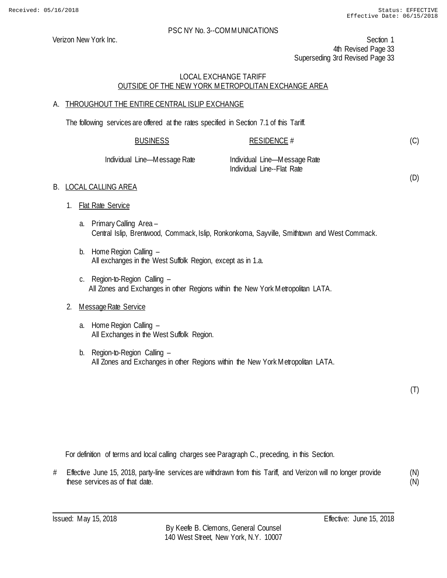Verizon New York Inc. Section 1 4th Revised Page 33 Superseding 3rd Revised Page 33

# LOCAL EXCHANGE TARIFF OUTSIDE OF THE NEW YORK METROPOLITAN EXCHANGE AREA

# A. THROUGHOUT THE ENTIRE CENTRAL ISLIP EXCHANGE

The following services are offered at the rates specified in Section 7.1 of this Tariff.

| <b>BUSINESS</b> | <b>RESIDENCE #</b> |
|-----------------|--------------------|
|                 |                    |

Individual Line—Message Rate Individual Line—Message Rate Individual Line--Flat Rate

(D)

(C)

# B. LOCAL CALLING AREA 1. Flat Rate Service

- a. Primary Calling Area Central Islip, Brentwood, Commack, Islip, Ronkonkoma, Sayville, Smithtown and West Commack.
- b. Home Region Calling All exchanges in the West Suffolk Region, except as in 1.a.
- c. Region-to-Region Calling All Zones and Exchanges in other Regions within the New York Metropolitan LATA.

# 2. Message Rate Service

- a. Home Region Calling All Exchanges in the West Suffolk Region.
- b. Region-to-Region Calling All Zones and Exchanges in other Regions within the New York Metropolitan LATA.

(T)

For definition of terms and local calling charges see Paragraph C., preceding, in this Section.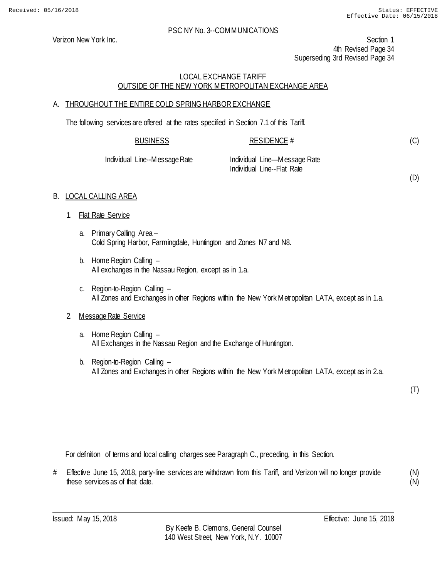(D)

#### PSC NY No. 3--COMMUNICATIONS

Verizon New York Inc. Section 1 4th Revised Page 34 Superseding 3rd Revised Page 34

# LOCAL EXCHANGE TARIFF OUTSIDE OF THE NEW YORK METROPOLITAN EXCHANGE AREA

# A. THROUGHOUT THE ENTIRE COLD SPRING HARBOR EXCHANGE

The following services are offered at the rates specified in Section 7.1 of this Tariff.

| <b>BUSINESS</b>               | RESIDENCE $#$                |  |
|-------------------------------|------------------------------|--|
| Individual Line--Message Rate | Individual Line—Message Rate |  |
|                               | Individual Line--Flat Rate   |  |

#### B. LOCAL CALLING AREA

- 1. Flat Rate Service
	- a. Primary Calling Area Cold Spring Harbor, Farmingdale, Huntington and Zones N7 and N8.
	- b. Home Region Calling All exchanges in the Nassau Region, except as in 1.a.
	- c. Region-to-Region Calling All Zones and Exchanges in other Regions within the New York Metropolitan LATA, except as in 1.a.

# 2. Message Rate Service

- a. Home Region Calling All Exchanges in the Nassau Region and the Exchange of Huntington.
- b. Region-to-Region Calling All Zones and Exchanges in other Regions within the New York Metropolitan LATA, except as in 2.a.

(T)

For definition of terms and local calling charges see Paragraph C., preceding, in this Section.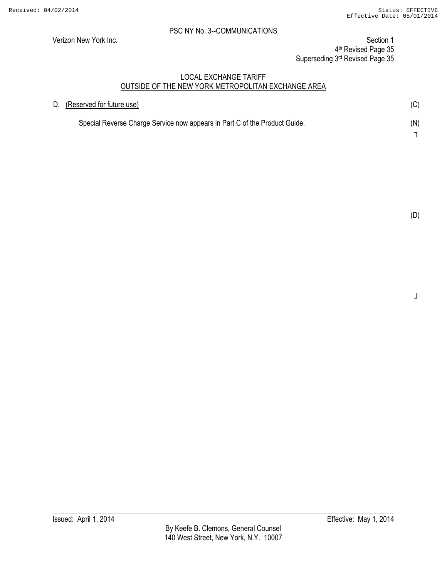Verizon New York Inc. Section 1 4th Revised Page 35 Superseding 3rd Revised Page 35

#### LOCAL EXCHANGE TARIFF OUTSIDE OF THE NEW YORK METROPOLITAN EXCHANGE AREA

| D. (Reserved for future use)                                               | (C) |
|----------------------------------------------------------------------------|-----|
| Special Reverse Charge Service now appears in Part C of the Product Guide. | (N) |
|                                                                            |     |

┘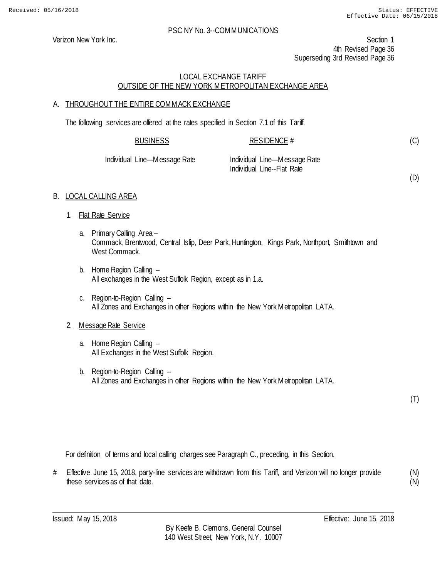(D)

#### PSC NY No. 3--COMMUNICATIONS

Verizon New York Inc. Section 1 4th Revised Page 36 Superseding 3rd Revised Page 36

# LOCAL EXCHANGE TARIFF OUTSIDE OF THE NEW YORK METROPOLITAN EXCHANGE AREA

# A. THROUGHOUT THE ENTIRE COMMACK EXCHANGE

The following services are offered at the rates specified in Section 7.1 of this Tariff.

| <b>BUSINESS</b>              | RESIDENCE #                  |  |
|------------------------------|------------------------------|--|
| Individual Line—Message Rate | Individual Line—Message Rate |  |

Individual Line--Flat Rate

B. LOCAL CALLING AREA

- 1. Flat Rate Service
	- a. Primary Calling Area Commack, Brentwood, Central Islip, Deer Park, Huntington, Kings Park, Northport, Smithtown and West Commack.
	- b. Home Region Calling All exchanges in the West Suffolk Region, except as in 1.a.
	- c. Region-to-Region Calling All Zones and Exchanges in other Regions within the New York Metropolitan LATA.

# 2. Message Rate Service

- a. Home Region Calling All Exchanges in the West Suffolk Region.
- b. Region-to-Region Calling All Zones and Exchanges in other Regions within the New York Metropolitan LATA.

(T)

For definition of terms and local calling charges see Paragraph C., preceding, in this Section.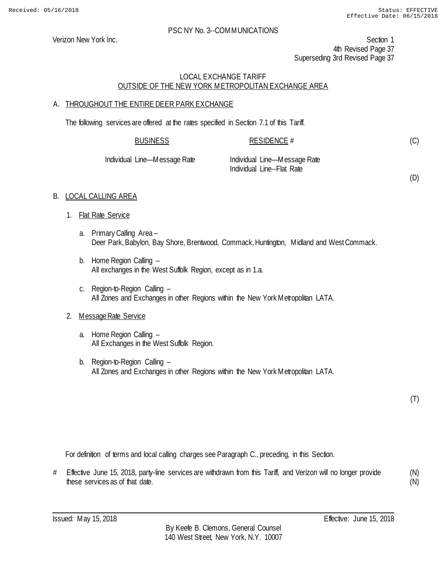Verizon New York Inc. Section 1 4th Revised Page 37 Superseding 3rd Revised Page 37

## LOCAL EXCHANGE TARIFF OUTSIDE OF THE NEW YORK METROPOLITAN EXCHANGE AREA

# A. THROUGHOUT THE ENTIRE DEER PARK EXCHANGE

The following services are offered at the rates specified in Section 7.1 of this Tariff.

| <b>BUSINESS</b> | <b>RESIDENCE #</b> |  |
|-----------------|--------------------|--|
|                 |                    |  |

| Individual Line—Message Rate | Individual Line-Message Rate |
|------------------------------|------------------------------|
|                              | Individual Line--Flat Rate   |

(D)

(C)

## B. LOCAL CALLING AREA

- 1. Flat Rate Service
	- a. Primary Calling Area Deer Park, Babylon, Bay Shore, Brentwood, Commack, Huntington, Midland and West Commack.
	- b. Home Region Calling All exchanges in the West Suffolk Region, except as in 1.a.
	- c. Region-to-Region Calling All Zones and Exchanges in other Regions within the New York Metropolitan LATA.

# 2. Message Rate Service

- a. Home Region Calling All Exchanges in the West Suffolk Region.
- b. Region-to-Region Calling All Zones and Exchanges in other Regions within the New York Metropolitan LATA.

(T)

For definition of terms and local calling charges see Paragraph C., preceding, in this Section.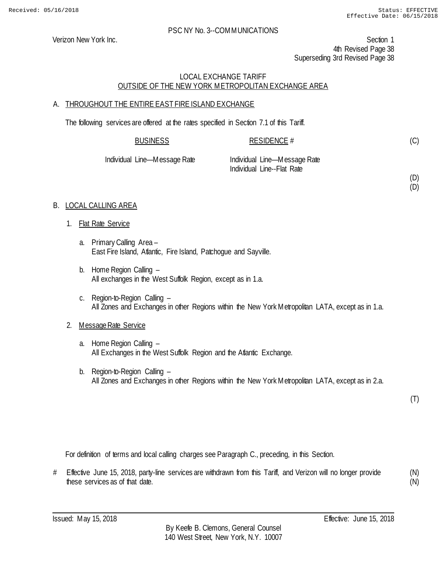(D) (D)

#### PSC NY No. 3--COMMUNICATIONS

Verizon New York Inc. Section 1 4th Revised Page 38 Superseding 3rd Revised Page 38

# LOCAL EXCHANGE TARIFF OUTSIDE OF THE NEW YORK METROPOLITAN EXCHANGE AREA

## A. THROUGHOUT THE ENTIRE EAST FIRE ISLAND EXCHANGE

The following services are offered at the rates specified in Section 7.1 of this Tariff.

| <b>BUSINESS</b>   | RESIDENCE #                |  |
|-------------------|----------------------------|--|
| Line Messess Dets | Jeshi de Line Maccaso Data |  |

| Individual Line—Message Rate | Individual Line-Message Rate |
|------------------------------|------------------------------|
|                              | Individual Line--Flat Rate   |

## B. LOCAL CALLING AREA

- 1. Flat Rate Service
	- a. Primary Calling Area East Fire Island, Atlantic, Fire Island, Patchogue and Sayville.
	- b. Home Region Calling All exchanges in the West Suffolk Region, except as in 1.a.
	- c. Region-to-Region Calling All Zones and Exchanges in other Regions within the New York Metropolitan LATA, except as in 1.a.

#### 2. Message Rate Service

- a. Home Region Calling All Exchanges in the West Suffolk Region and the Atlantic Exchange.
- b. Region-to-Region Calling All Zones and Exchanges in other Regions within the New York Metropolitan LATA, except as in 2.a.

(T)

For definition of terms and local calling charges see Paragraph C., preceding, in this Section.

# Effective June 15, 2018, party-line services are withdrawn from this Tariff, and Verizon will no longer provide these services as of that date. (N)

(N)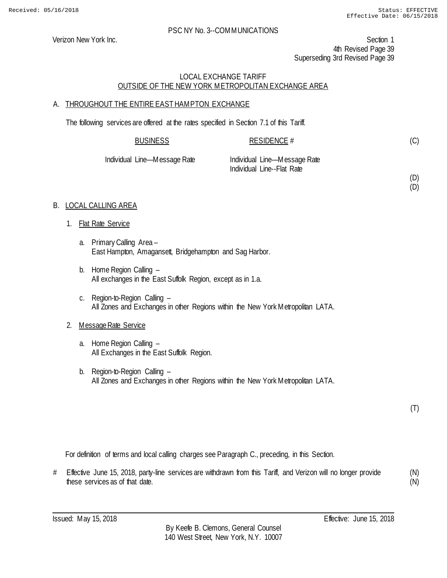(D) (D)

#### PSC NY No. 3--COMMUNICATIONS

Verizon New York Inc. Section 1 4th Revised Page 39 Superseding 3rd Revised Page 39

# LOCAL EXCHANGE TARIFF OUTSIDE OF THE NEW YORK METROPOLITAN EXCHANGE AREA

## A. THROUGHOUT THE ENTIRE EAST HAMPTON EXCHANGE

The following services are offered at the rates specified in Section 7.1 of this Tariff.

| <b>BUSINESS</b> | <b>RESIDENCE #</b> |  |
|-----------------|--------------------|--|
|                 |                    |  |

| Individual Line—Message Rate | Individual Line-Message Rate |
|------------------------------|------------------------------|
|                              | Individual Line--Flat Rate   |

## B. LOCAL CALLING AREA

- 1. Flat Rate Service
	- a. Primary Calling Area East Hampton, Amagansett, Bridgehampton and Sag Harbor.
	- b. Home Region Calling All exchanges in the East Suffolk Region, except as in 1.a.
	- c. Region-to-Region Calling All Zones and Exchanges in other Regions within the New York Metropolitan LATA.

#### 2. Message Rate Service

- a. Home Region Calling All Exchanges in the East Suffolk Region.
- b. Region-to-Region Calling All Zones and Exchanges in other Regions within the New York Metropolitan LATA.

(T)

For definition of terms and local calling charges see Paragraph C., preceding, in this Section.

# Effective June 15, 2018, party-line services are withdrawn from this Tariff, and Verizon will no longer provide these services as of that date. (N) (N)

Issued: May 15, 2018 Effective: June 15, 2018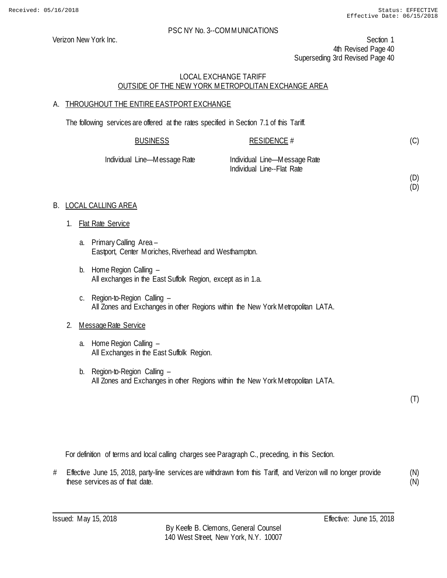(D) (D)

#### PSC NY No. 3--COMMUNICATIONS

Verizon New York Inc. Section 1 4th Revised Page 40 Superseding 3rd Revised Page 40

## LOCAL EXCHANGE TARIFF OUTSIDE OF THE NEW YORK METROPOLITAN EXCHANGE AREA

# A. THROUGHOUT THE ENTIRE EASTPORT EXCHANGE

The following services are offered at the rates specified in Section 7.1 of this Tariff.

| <b>BUSINESS</b>              | RESIDENCE #                                                |  |
|------------------------------|------------------------------------------------------------|--|
| Individual Line—Message Rate | Individual Line—Message Rate<br>Individual Line--Flat Rate |  |

#### B. LOCAL CALLING AREA

- 1. Flat Rate Service
	- a. Primary Calling Area Eastport, Center Moriches, Riverhead and Westhampton.
	- b. Home Region Calling All exchanges in the East Suffolk Region, except as in 1.a.
	- c. Region-to-Region Calling All Zones and Exchanges in other Regions within the New York Metropolitan LATA.

#### 2. Message Rate Service

- a. Home Region Calling All Exchanges in the East Suffolk Region.
- b. Region-to-Region Calling All Zones and Exchanges in other Regions within the New York Metropolitan LATA.

(T)

For definition of terms and local calling charges see Paragraph C., preceding, in this Section.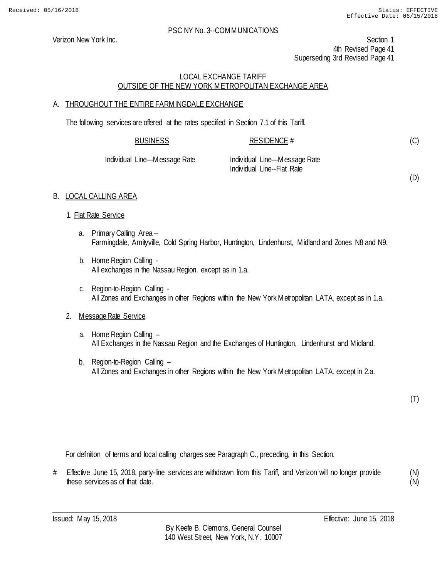Verizon New York Inc. Section 1 4th Revised Page 41 Superseding 3rd Revised Page 41

# LOCAL EXCHANGE TARIFF OUTSIDE OF THE NEW YORK METROPOLITAN EXCHANGE AREA

# A. THROUGHOUT THE ENTIRE FARMINGDALE EXCHANGE

The following services are offered at the rates specified in Section 7.1 of this Tariff.

| <b>BUSINESS</b>              | RESIDENCE $#$                |  |
|------------------------------|------------------------------|--|
| Individual Line—Message Rate | Individual Line—Message Rate |  |

| <b>INIVINUAL LILIC—IVICSSAYCINAL</b> | $III$ III IUI VIUUCII LIII IC—IVI CSSCUJC |
|--------------------------------------|-------------------------------------------|
|                                      | Individual Line--Flat Rate                |
|                                      |                                           |

(D)

(C)

# B. LOCAL CALLING AREA

#### 1. Flat Rate Service

- a. Primary Calling Area Farmingdale, Amityville, Cold Spring Harbor, Huntington, Lindenhurst, Midland and Zones N8 and N9.
- b. Home Region Calling All exchanges in the Nassau Region, except as in 1.a.
- c. Region-to-Region Calling All Zones and Exchanges in other Regions within the New York Metropolitan LATA, except as in 1.a.

# 2. Message Rate Service

- a. Home Region Calling All Exchanges in the Nassau Region and the Exchanges of Huntington, Lindenhurst and Midland.
- b. Region-to-Region Calling All Zones and Exchanges in other Regions within the New York Metropolitan LATA, except in 2.a.

(T)

For definition of terms and local calling charges see Paragraph C., preceding, in this Section.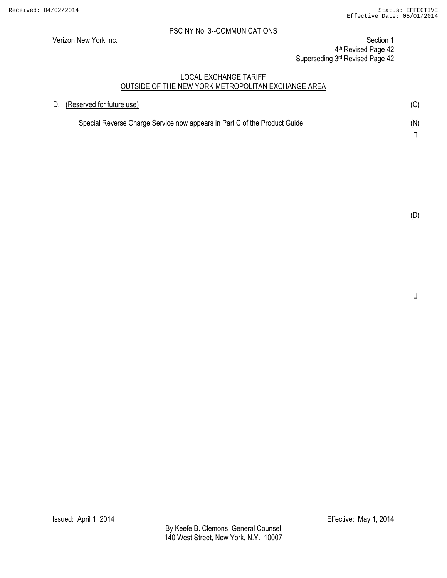Verizon New York Inc. Section 1 4th Revised Page 42 Superseding 3rd Revised Page 42

## LOCAL EXCHANGE TARIFF OUTSIDE OF THE NEW YORK METROPOLITAN EXCHANGE AREA

| D. (Reserved for future use)                                               | (C) |
|----------------------------------------------------------------------------|-----|
| Special Reverse Charge Service now appears in Part C of the Product Guide. | (N) |
|                                                                            |     |

┘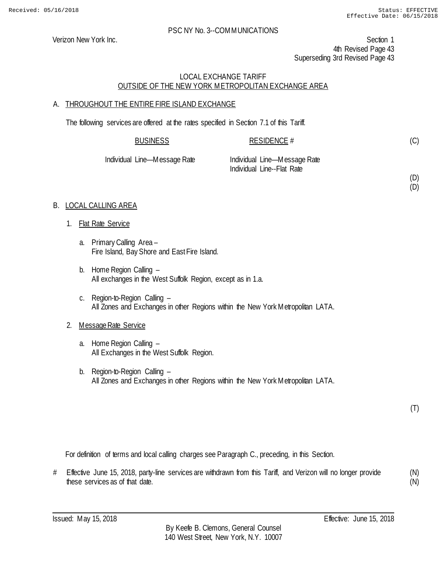(D) (D)

#### PSC NY No. 3--COMMUNICATIONS

Verizon New York Inc. Section 1 4th Revised Page 43 Superseding 3rd Revised Page 43

## LOCAL EXCHANGE TARIFF OUTSIDE OF THE NEW YORK METROPOLITAN EXCHANGE AREA

## A. THROUGHOUT THE ENTIRE FIRE ISLAND EXCHANGE

The following services are offered at the rates specified in Section 7.1 of this Tariff.

| <b>BUSINESS</b>   | RESIDENCE #                                                |
|-------------------|------------------------------------------------------------|
| Line—Message Rate | Individual Line—Message Rate<br>Individual Line--Flat Rate |

## B. LOCAL CALLING AREA

1. Flat Rate Service

**Individual** 

- a. Primary Calling Area Fire Island, Bay Shore and East Fire Island.
- b. Home Region Calling All exchanges in the West Suffolk Region, except as in 1.a.
- c. Region-to-Region Calling All Zones and Exchanges in other Regions within the New York Metropolitan LATA.

#### 2. Message Rate Service

- a. Home Region Calling All Exchanges in the West Suffolk Region.
- b. Region-to-Region Calling All Zones and Exchanges in other Regions within the New York Metropolitan LATA.

(T)

For definition of terms and local calling charges see Paragraph C., preceding, in this Section.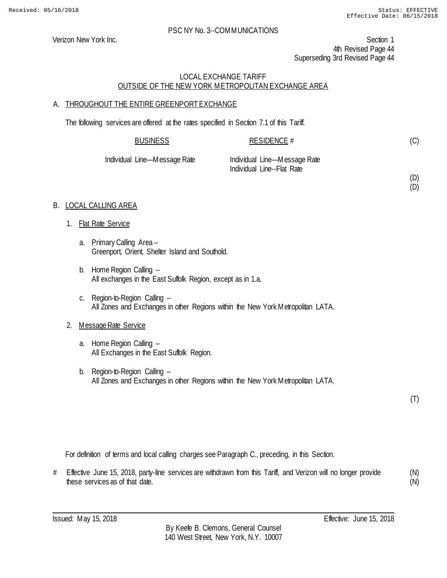(D) (D)

#### PSC NY No. 3--COMMUNICATIONS

Verizon New York Inc. Section 1 4th Revised Page 44 Superseding 3rd Revised Page 44

## LOCAL EXCHANGE TARIFF OUTSIDE OF THE NEW YORK METROPOLITAN EXCHANGE AREA

## A. THROUGHOUT THE ENTIRE GREENPORT EXCHANGE

The following services are offered at the rates specified in Section 7.1 of this Tariff.

| <b>BUSINESS</b>              | RESIDENCE #                                                |  |
|------------------------------|------------------------------------------------------------|--|
| Individual Line—Message Rate | Individual Line—Message Rate<br>Individual Line--Flat Rate |  |

#### B. LOCAL CALLING AREA

- 1. Flat Rate Service
	- a. Primary Calling Area Greenport, Orient, Shelter Island and Southold.
	- b. Home Region Calling All exchanges in the East Suffolk Region, except as in 1.a.
	- c. Region-to-Region Calling All Zones and Exchanges in other Regions within the New York Metropolitan LATA.

#### 2. Message Rate Service

- a. Home Region Calling All Exchanges in the East Suffolk Region.
- b. Region-to-Region Calling All Zones and Exchanges in other Regions within the New York Metropolitan LATA.

(T)

For definition of terms and local calling charges see Paragraph C., preceding, in this Section.

# Effective June 15, 2018, party-line services are withdrawn from this Tariff, and Verizon will no longer provide these services as of that date. (N) (N)

Issued: May 15, 2018 Effective: June 15, 2018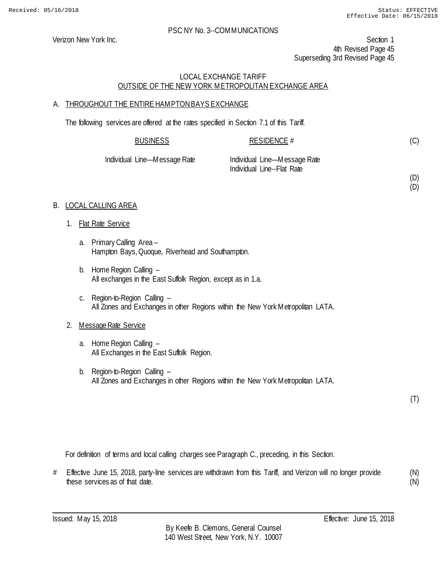(D) (D)

#### PSC NY No. 3--COMMUNICATIONS

Verizon New York Inc. Section 1 4th Revised Page 45 Superseding 3rd Revised Page 45

# LOCAL EXCHANGE TARIFF OUTSIDE OF THE NEW YORK METROPOLITAN EXCHANGE AREA

## A. THROUGHOUT THE ENTIRE HAMPTON BAYS EXCHANGE

The following services are offered at the rates specified in Section 7.1 of this Tariff.

| <b>BUSINESS</b>   | RESIDENCE #                  |  |
|-------------------|------------------------------|--|
| Line Mossono Dato | Individual Line Mossono Dato |  |

| Individual Line—Message Rate | Individual Line-Message Rate |
|------------------------------|------------------------------|
|                              | Individual Line--Flat Rate   |

## B. LOCAL CALLING AREA

- 1. Flat Rate Service
	- a. Primary Calling Area Hampton Bays, Quoque, Riverhead and Southampton.
	- b. Home Region Calling All exchanges in the East Suffolk Region, except as in 1.a.
	- c. Region-to-Region Calling All Zones and Exchanges in other Regions within the New York Metropolitan LATA.

# 2. Message Rate Service

- a. Home Region Calling All Exchanges in the East Suffolk Region.
- b. Region-to-Region Calling All Zones and Exchanges in other Regions within the New York Metropolitan LATA.

(T)

For definition of terms and local calling charges see Paragraph C., preceding, in this Section.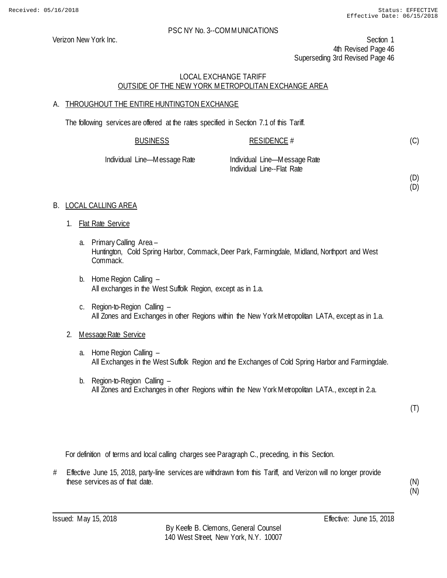Verizon New York Inc. Section 1 4th Revised Page 46 Superseding 3rd Revised Page 46

# LOCAL EXCHANGE TARIFF OUTSIDE OF THE NEW YORK METROPOLITAN EXCHANGE AREA

# A. THROUGHOUT THE ENTIRE HUNTINGTON EXCHANGE

The following services are offered at the rates specified in Section 7.1 of this Tariff.

| <b>BUSINESS</b>   | RESIDENCE $#$                 |  |
|-------------------|-------------------------------|--|
| Line—Message Rate | -Individual Line—Message Rate |  |

| Individual Line—Message Rate | Individual Line-Message Rate |
|------------------------------|------------------------------|
|                              | Individual Line--Flat Rate   |

(D) (D)

(C)

# B. LOCAL CALLING AREA

- 1. Flat Rate Service
	- a. Primary Calling Area Huntington, Cold Spring Harbor, Commack, Deer Park, Farmingdale, Midland, Northport and West Commack.
	- b. Home Region Calling All exchanges in the West Suffolk Region, except as in 1.a.
	- c. Region-to-Region Calling All Zones and Exchanges in other Regions within the New York Metropolitan LATA, except as in 1.a.

# 2. Message Rate Service

- a. Home Region Calling All Exchanges in the West Suffolk Region and the Exchanges of Cold Spring Harbor and Farmingdale.
- b. Region-to-Region Calling All Zones and Exchanges in other Regions within the New York Metropolitan LATA., except in 2.a.

(T)

For definition of terms and local calling charges see Paragraph C., preceding, in this Section.

# Effective June 15, 2018, party-line services are withdrawn from this Tariff, and Verizon will no longer provide these services as of that date.

(N) (N)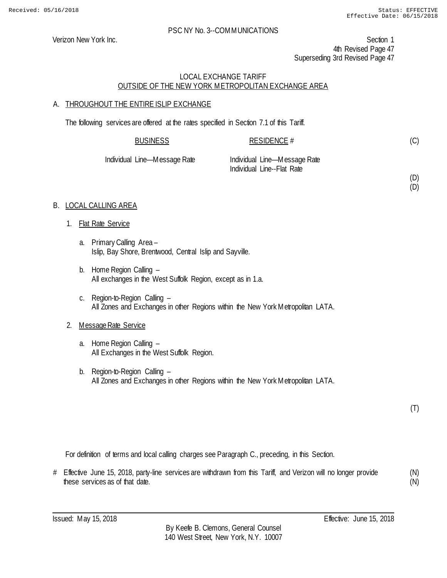(D) (D)

## PSC NY No. 3--COMMUNICATIONS

Verizon New York Inc. Section 1 4th Revised Page 47 Superseding 3rd Revised Page 47

# LOCAL EXCHANGE TARIFF OUTSIDE OF THE NEW YORK METROPOLITAN EXCHANGE AREA

# A. THROUGHOUT THE ENTIRE ISLIP EXCHANGE

The following services are offered at the rates specified in Section 7.1 of this Tariff.

| <b>BUSINESS</b>              | RESIDENCE #                  |  |
|------------------------------|------------------------------|--|
| Individual Line—Message Rate | Individual Line—Message Rate |  |
|                              | Individual Line--Flat Rate   |  |

# B. LOCAL CALLING AREA

- 1. Flat Rate Service
	- a. Primary Calling Area Islip, Bay Shore, Brentwood, Central Islip and Sayville.
	- b. Home Region Calling All exchanges in the West Suffolk Region, except as in 1.a.
	- c. Region-to-Region Calling All Zones and Exchanges in other Regions within the New York Metropolitan LATA.

# 2. Message Rate Service

- a. Home Region Calling All Exchanges in the West Suffolk Region.
- b. Region-to-Region Calling All Zones and Exchanges in other Regions within the New York Metropolitan LATA.

(T)

For definition of terms and local calling charges see Paragraph C., preceding, in this Section.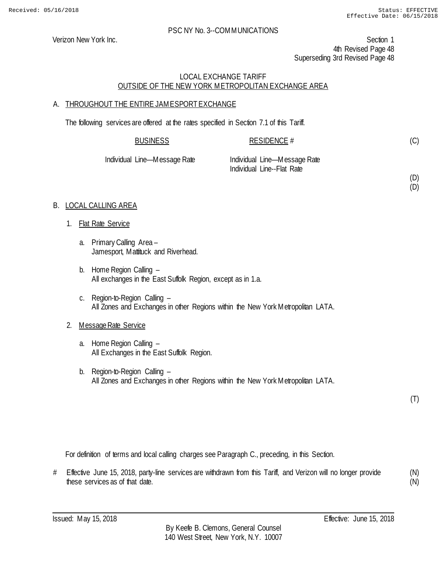(D) (D)

#### PSC NY No. 3--COMMUNICATIONS

Verizon New York Inc. Section 1 4th Revised Page 48 Superseding 3rd Revised Page 48

## LOCAL EXCHANGE TARIFF OUTSIDE OF THE NEW YORK METROPOLITAN EXCHANGE AREA

## A. THROUGHOUT THE ENTIRE JAMESPORT EXCHANGE

The following services are offered at the rates specified in Section 7.1 of this Tariff.

| <b>BUSINESS</b>              | RESIDENCE #                                                |  |
|------------------------------|------------------------------------------------------------|--|
| Individual Line—Message Rate | Individual Line—Message Rate<br>Individual Line--Flat Rate |  |

#### B. LOCAL CALLING AREA

- 1. Flat Rate Service
	- a. Primary Calling Area Jamesport, Mattituck and Riverhead.
	- b. Home Region Calling All exchanges in the East Suffolk Region, except as in 1.a.
	- c. Region-to-Region Calling All Zones and Exchanges in other Regions within the New York Metropolitan LATA.

#### 2. Message Rate Service

- a. Home Region Calling All Exchanges in the East Suffolk Region.
- b. Region-to-Region Calling All Zones and Exchanges in other Regions within the New York Metropolitan LATA.

(T)

For definition of terms and local calling charges see Paragraph C., preceding, in this Section.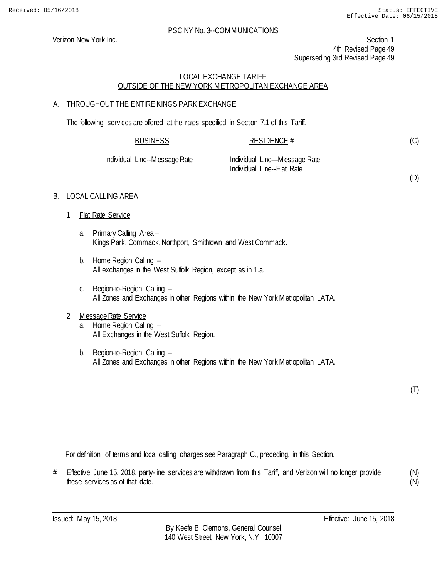(D)

## PSC NY No. 3--COMMUNICATIONS

Verizon New York Inc. Section 1 4th Revised Page 49 Superseding 3rd Revised Page 49

# LOCAL EXCHANGE TARIFF OUTSIDE OF THE NEW YORK METROPOLITAN EXCHANGE AREA

# A. THROUGHOUT THE ENTIRE KINGS PARK EXCHANGE

The following services are offered at the rates specified in Section 7.1 of this Tariff.

| <b>BUSINESS</b>               | RESIDENCE #                                                |  |
|-------------------------------|------------------------------------------------------------|--|
| Individual Line--Message Rate | Individual Line—Message Rate<br>Individual Line--Flat Rate |  |

## B. LOCAL CALLING AREA

- 1. Flat Rate Service
	- a. Primary Calling Area Kings Park, Commack, Northport, Smithtown and West Commack.
	- b. Home Region Calling All exchanges in the West Suffolk Region, except as in 1.a.
	- c. Region-to-Region Calling All Zones and Exchanges in other Regions within the New York Metropolitan LATA.

# 2. Message Rate Service

- a. Home Region Calling All Exchanges in the West Suffolk Region.
- b. Region-to-Region Calling All Zones and Exchanges in other Regions within the New York Metropolitan LATA.

(T)

For definition of terms and local calling charges see Paragraph C., preceding, in this Section.

# Effective June 15, 2018, party-line services are withdrawn from this Tariff, and Verizon will no longer provide these services as of that date. (N) (N)

Issued: May 15, 2018 Effective: June 15, 2018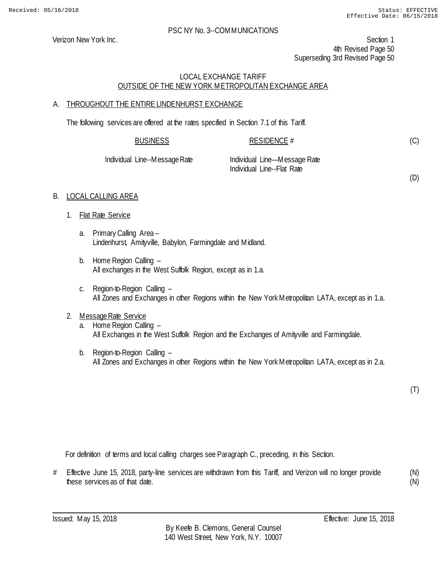Verizon New York Inc. Section 1 4th Revised Page 50 Superseding 3rd Revised Page 50

# LOCAL EXCHANGE TARIFF OUTSIDE OF THE NEW YORK METROPOLITAN EXCHANGE AREA

# A. THROUGHOUT THE ENTIRE LINDENHURST EXCHANGE

The following services are offered at the rates specified in Section 7.1 of this Tariff.

| <b>BUSINESS</b> | <b>RESIDENCE #</b> |
|-----------------|--------------------|
|                 |                    |

Individual Line--Message Rate Individual Line—Message Rate Individual Line--Flat Rate

(D)

(C)

# B. LOCAL CALLING AREA

- 1. Flat Rate Service
	- a. Primary Calling Area Lindenhurst, Amityville, Babylon, Farmingdale and Midland.
	- b. Home Region Calling All exchanges in the West Suffolk Region, except as in 1.a.
	- c. Region-to-Region Calling All Zones and Exchanges in other Regions within the New York Metropolitan LATA, except as in 1.a.

# 2. Message Rate Service

- a. Home Region Calling All Exchanges in the West Suffolk Region and the Exchanges of Amityville and Farmingdale.
- b. Region-to-Region Calling All Zones and Exchanges in other Regions within the New York Metropolitan LATA, except as in 2.a.

(T)

For definition of terms and local calling charges see Paragraph C., preceding, in this Section.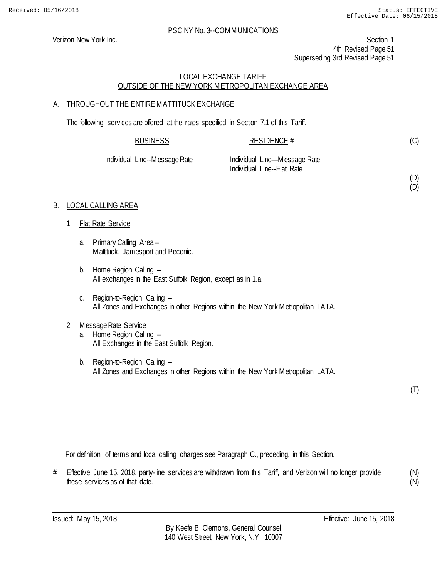(D) (D)

## PSC NY No. 3--COMMUNICATIONS

Verizon New York Inc. Section 1 4th Revised Page 51 Superseding 3rd Revised Page 51

# LOCAL EXCHANGE TARIFF OUTSIDE OF THE NEW YORK METROPOLITAN EXCHANGE AREA

# A. THROUGHOUT THE ENTIRE MATTITUCK EXCHANGE

The following services are offered at the rates specified in Section 7.1 of this Tariff.

| <b>BUSINESS</b>               | RESIDENCE #                                                |  |
|-------------------------------|------------------------------------------------------------|--|
| Individual Line--Message Rate | Individual Line—Message Rate<br>Individual Line--Flat Rate |  |

# B. LOCAL CALLING AREA

- 1. Flat Rate Service
	- a. Primary Calling Area Mattituck, Jamesport and Peconic.
	- b. Home Region Calling All exchanges in the East Suffolk Region, except as in 1.a.
	- c. Region-to-Region Calling All Zones and Exchanges in other Regions within the New York Metropolitan LATA.
- 2. Message Rate Service a. Home Region Calling – All Exchanges in the East Suffolk Region.
	- b. Region-to-Region Calling All Zones and Exchanges in other Regions within the New York Metropolitan LATA.

(T)

For definition of terms and local calling charges see Paragraph C., preceding, in this Section.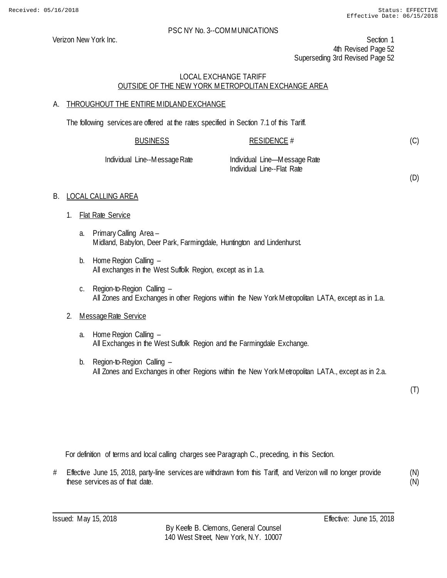(D)

#### PSC NY No. 3--COMMUNICATIONS

Verizon New York Inc. Section 1 4th Revised Page 52 Superseding 3rd Revised Page 52

# LOCAL EXCHANGE TARIFF OUTSIDE OF THE NEW YORK METROPOLITAN EXCHANGE AREA

## A. THROUGHOUT THE ENTIRE MIDLAND EXCHANGE

The following services are offered at the rates specified in Section 7.1 of this Tariff.

| <b>BUSINESS</b>               | RESIDENCE #                                                |  |
|-------------------------------|------------------------------------------------------------|--|
| Individual Line--Message Rate | Individual Line—Message Rate<br>Individual Line--Flat Rate |  |

#### B. LOCAL CALLING AREA

- 1. Flat Rate Service
	- a. Primary Calling Area Midland, Babylon, Deer Park, Farmingdale, Huntington and Lindenhurst.
	- b. Home Region Calling All exchanges in the West Suffolk Region, except as in 1.a.
	- c. Region-to-Region Calling All Zones and Exchanges in other Regions within the New York Metropolitan LATA, except as in 1.a.

# 2. Message Rate Service

- a. Home Region Calling All Exchanges in the West Suffolk Region and the Farmingdale Exchange.
- b. Region-to-Region Calling All Zones and Exchanges in other Regions within the New York Metropolitan LATA., except as in 2.a.

(T)

For definition of terms and local calling charges see Paragraph C., preceding, in this Section.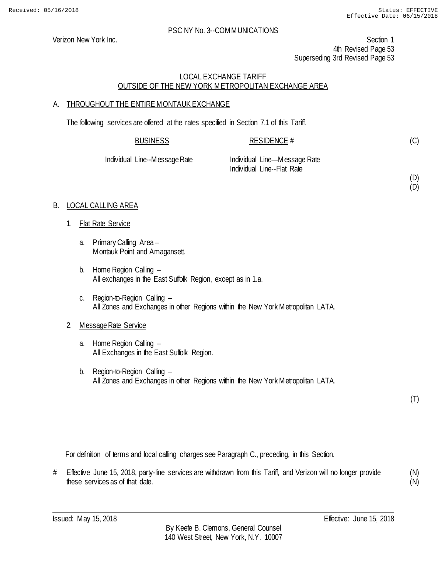(D) (D)

## PSC NY No. 3--COMMUNICATIONS

Verizon New York Inc. Section 1 4th Revised Page 53 Superseding 3rd Revised Page 53

# LOCAL EXCHANGE TARIFF OUTSIDE OF THE NEW YORK METROPOLITAN EXCHANGE AREA

# A. THROUGHOUT THE ENTIRE MONTAUK EXCHANGE

The following services are offered at the rates specified in Section 7.1 of this Tariff.

| <b>BUSINESS</b>               | RESIDENCE #                                                |
|-------------------------------|------------------------------------------------------------|
| Individual Line--Message Rate | Individual Line—Message Rate<br>Individual Line--Flat Rate |

# B. LOCAL CALLING AREA

- 1. Flat Rate Service
	- a. Primary Calling Area Montauk Point and Amagansett.
	- b. Home Region Calling All exchanges in the East Suffolk Region, except as in 1.a.
	- c. Region-to-Region Calling All Zones and Exchanges in other Regions within the New York Metropolitan LATA.

# 2. Message Rate Service

- a. Home Region Calling All Exchanges in the East Suffolk Region.
- b. Region-to-Region Calling All Zones and Exchanges in other Regions within the New York Metropolitan LATA.

(T)

For definition of terms and local calling charges see Paragraph C., preceding, in this Section.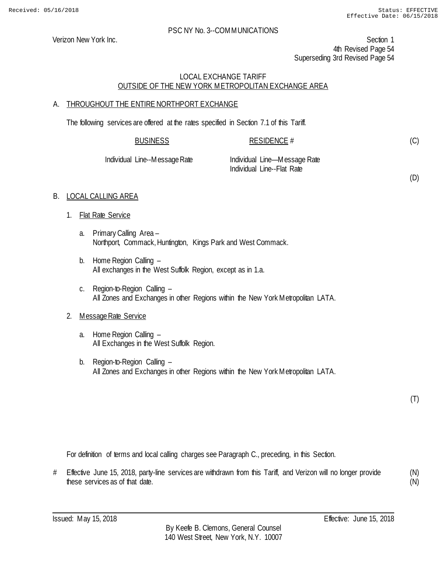(D)

## PSC NY No. 3--COMMUNICATIONS

Verizon New York Inc. Section 1 4th Revised Page 54 Superseding 3rd Revised Page 54

# LOCAL EXCHANGE TARIFF OUTSIDE OF THE NEW YORK METROPOLITAN EXCHANGE AREA

# A. THROUGHOUT THE ENTIRE NORTHPORT EXCHANGE

The following services are offered at the rates specified in Section 7.1 of this Tariff.

| <b>BUSINESS</b>               | RESIDENCE #                  |  |
|-------------------------------|------------------------------|--|
| Individual Line--Message Rate | Individual Line—Message Rate |  |

Individual Line--Flat Rate

# B. LOCAL CALLING AREA

- 1. Flat Rate Service
	- a. Primary Calling Area Northport, Commack, Huntington, Kings Park and West Commack.
	- b. Home Region Calling All exchanges in the West Suffolk Region, except as in 1.a.
	- c. Region-to-Region Calling All Zones and Exchanges in other Regions within the New York Metropolitan LATA.

# 2. Message Rate Service

- a. Home Region Calling All Exchanges in the West Suffolk Region.
- b. Region-to-Region Calling All Zones and Exchanges in other Regions within the New York Metropolitan LATA.

(T)

For definition of terms and local calling charges see Paragraph C., preceding, in this Section.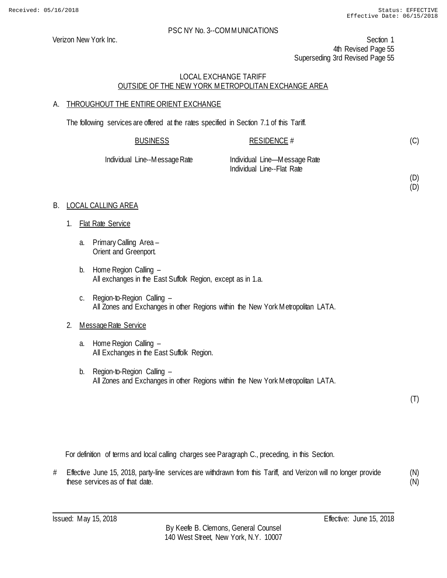(D) (D)

## PSC NY No. 3--COMMUNICATIONS

Verizon New York Inc. Section 1 4th Revised Page 55 Superseding 3rd Revised Page 55

# LOCAL EXCHANGE TARIFF OUTSIDE OF THE NEW YORK METROPOLITAN EXCHANGE AREA

# A. THROUGHOUT THE ENTIRE ORIENT EXCHANGE

The following services are offered at the rates specified in Section 7.1 of this Tariff.

| <b>BUSINESS</b>               | RESIDENCE #                                                |
|-------------------------------|------------------------------------------------------------|
| Individual Line--Message Rate | Individual Line—Message Rate<br>Individual Line--Flat Rate |

# B. LOCAL CALLING AREA

- 1. Flat Rate Service
	- a. Primary Calling Area Orient and Greenport.
	- b. Home Region Calling All exchanges in the East Suffolk Region, except as in 1.a.
	- c. Region-to-Region Calling All Zones and Exchanges in other Regions within the New York Metropolitan LATA.

# 2. Message Rate Service

- a. Home Region Calling All Exchanges in the East Suffolk Region.
- b. Region-to-Region Calling All Zones and Exchanges in other Regions within the New York Metropolitan LATA.

(T)

For definition of terms and local calling charges see Paragraph C., preceding, in this Section.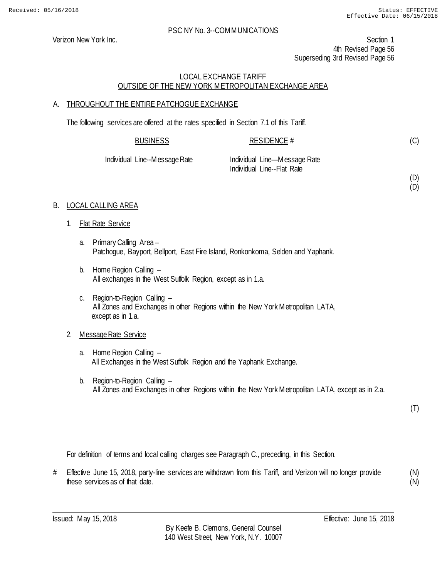(D) (D)

## PSC NY No. 3--COMMUNICATIONS

Verizon New York Inc. Section 1 4th Revised Page 56 Superseding 3rd Revised Page 56

# LOCAL EXCHANGE TARIFF OUTSIDE OF THE NEW YORK METROPOLITAN EXCHANGE AREA

# A. THROUGHOUT THE ENTIRE PATCHOGUE EXCHANGE

The following services are offered at the rates specified in Section 7.1 of this Tariff.

| <b>BUSINESS</b>               | RESIDENCE #                                                |
|-------------------------------|------------------------------------------------------------|
| Individual Line--Message Rate | Individual Line—Message Rate<br>Individual Line--Flat Rate |

## B. LOCAL CALLING AREA

- 1. Flat Rate Service
	- a. Primary Calling Area Patchogue, Bayport, Bellport, East Fire Island, Ronkonkoma, Selden and Yaphank.
	- b. Home Region Calling All exchanges in the West Suffolk Region, except as in 1.a.
	- c. Region-to-Region Calling All Zones and Exchanges in other Regions within the New York Metropolitan LATA, except as in 1.a.

# 2. Message Rate Service

- a. Home Region Calling All Exchanges in the West Suffolk Region and the Yaphank Exchange.
- b. Region-to-Region Calling All Zones and Exchanges in other Regions within the New York Metropolitan LATA, except as in 2.a.

(T)

For definition of terms and local calling charges see Paragraph C., preceding, in this Section.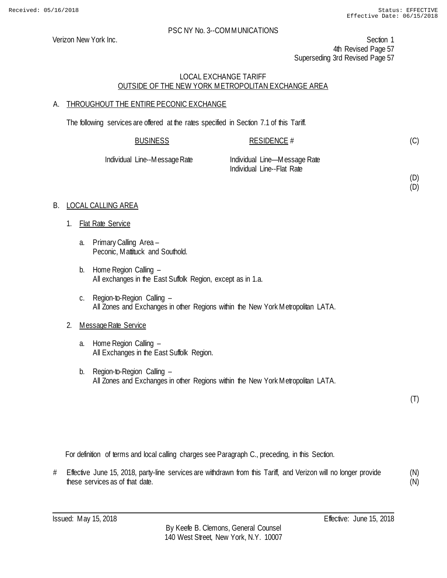(D) (D)

## PSC NY No. 3--COMMUNICATIONS

Verizon New York Inc. Section 1 4th Revised Page 57 Superseding 3rd Revised Page 57

# LOCAL EXCHANGE TARIFF OUTSIDE OF THE NEW YORK METROPOLITAN EXCHANGE AREA

# A. THROUGHOUT THE ENTIRE PECONIC EXCHANGE

The following services are offered at the rates specified in Section 7.1 of this Tariff.

| <b>BUSINESS</b>               | RESIDENCE #                                                |  |
|-------------------------------|------------------------------------------------------------|--|
| Individual Line--Message Rate | Individual Line—Message Rate<br>Individual Line--Flat Rate |  |

# B. LOCAL CALLING AREA

- 1. Flat Rate Service
	- a. Primary Calling Area Peconic, Mattituck and Southold.
	- b. Home Region Calling All exchanges in the East Suffolk Region, except as in 1.a.
	- c. Region-to-Region Calling All Zones and Exchanges in other Regions within the New York Metropolitan LATA.

# 2. Message Rate Service

- a. Home Region Calling All Exchanges in the East Suffolk Region.
- b. Region-to-Region Calling All Zones and Exchanges in other Regions within the New York Metropolitan LATA.

(T)

For definition of terms and local calling charges see Paragraph C., preceding, in this Section.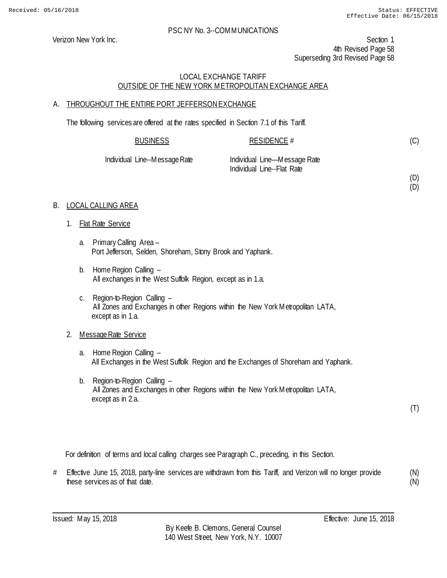(D) (D)

## PSC NY No. 3--COMMUNICATIONS

Verizon New York Inc. Section 1 4th Revised Page 58 Superseding 3rd Revised Page 58

# LOCAL EXCHANGE TARIFF OUTSIDE OF THE NEW YORK METROPOLITAN EXCHANGE AREA

# A. THROUGHOUT THE ENTIRE PORT JEFFERSON EXCHANGE

The following services are offered at the rates specified in Section 7.1 of this Tariff.

| <b>BUSINESS</b>    | RESIDENCE #                                                |
|--------------------|------------------------------------------------------------|
| Line--Message Rate | Individual Line—Message Rate<br>Individual Line--Flat Rate |

# B. LOCAL CALLING AREA

1. Flat Rate Service

**Individual** 

- a. Primary Calling Area Port Jefferson, Selden, Shoreham, Stony Brook and Yaphank.
- b. Home Region Calling All exchanges in the West Suffolk Region, except as in 1.a.
- c. Region-to-Region Calling All Zones and Exchanges in other Regions within the New York Metropolitan LATA, except as in 1.a.

# 2. Message Rate Service

- a. Home Region Calling All Exchanges in the West Suffolk Region and the Exchanges of Shoreham and Yaphank.
- b. Region-to-Region Calling All Zones and Exchanges in other Regions within the New York Metropolitan LATA, except as in 2.a.

(T)

For definition of terms and local calling charges see Paragraph C., preceding, in this Section.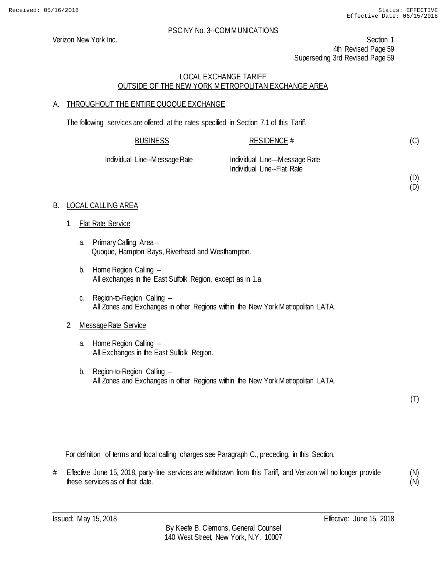(D) (D)

## PSC NY No. 3--COMMUNICATIONS

Verizon New York Inc. Section 1 4th Revised Page 59 Superseding 3rd Revised Page 59

# LOCAL EXCHANGE TARIFF OUTSIDE OF THE NEW YORK METROPOLITAN EXCHANGE AREA

# A. THROUGHOUT THE ENTIRE QUOQUE EXCHANGE

The following services are offered at the rates specified in Section 7.1 of this Tariff.

| <b>BUSINESS</b>               | RESIDENCE #                                                |
|-------------------------------|------------------------------------------------------------|
| Individual Line--Message Rate | Individual Line—Message Rate<br>Individual Line--Flat Rate |

# B. LOCAL CALLING AREA

- 1. Flat Rate Service
	- a. Primary Calling Area Quoque, Hampton Bays, Riverhead and Westhampton.
	- b. Home Region Calling All exchanges in the East Suffolk Region, except as in 1.a.
	- c. Region-to-Region Calling All Zones and Exchanges in other Regions within the New York Metropolitan LATA.

# 2. Message Rate Service

- a. Home Region Calling All Exchanges in the East Suffolk Region.
- b. Region-to-Region Calling All Zones and Exchanges in other Regions within the New York Metropolitan LATA.

(T)

For definition of terms and local calling charges see Paragraph C., preceding, in this Section.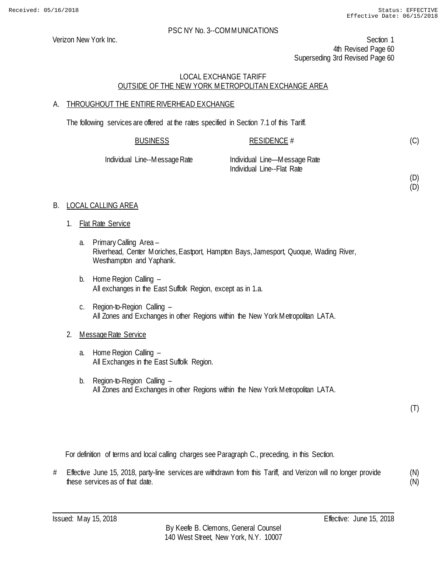(D) (D)

## PSC NY No. 3--COMMUNICATIONS

Verizon New York Inc. Section 1 4th Revised Page 60 Superseding 3rd Revised Page 60

# LOCAL EXCHANGE TARIFF OUTSIDE OF THE NEW YORK METROPOLITAN EXCHANGE AREA

# A. THROUGHOUT THE ENTIRE RIVERHEAD EXCHANGE

The following services are offered at the rates specified in Section 7.1 of this Tariff.

| <b>BUSINESS</b>        | RESIDENCE #                  |  |
|------------------------|------------------------------|--|
| il Line--Message Rate. | Individual Line—Message Rate |  |

Individual Line--Message Rate Individual Line—Message Rate Individual Line--Flat Rate

# B. LOCAL CALLING AREA

- 1. Flat Rate Service
	- a. Primary Calling Area Riverhead, Center Moriches, Eastport, Hampton Bays, Jamesport, Quoque, Wading River, Westhampton and Yaphank.
	- b. Home Region Calling All exchanges in the East Suffolk Region, except as in 1.a.
	- c. Region-to-Region Calling All Zones and Exchanges in other Regions within the New York Metropolitan LATA.

# 2. Message Rate Service

- a. Home Region Calling All Exchanges in the East Suffolk Region.
- b. Region-to-Region Calling All Zones and Exchanges in other Regions within the New York Metropolitan LATA.

(T)

For definition of terms and local calling charges see Paragraph C., preceding, in this Section.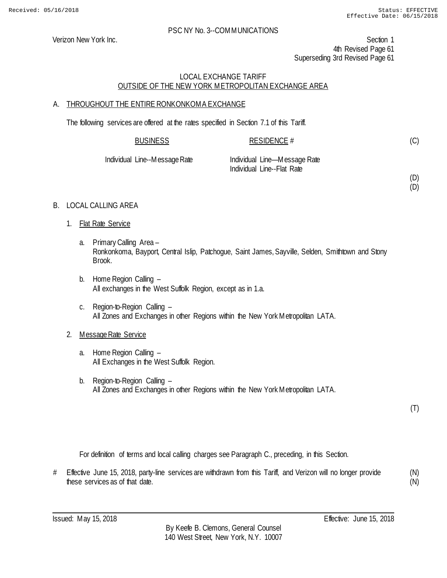Verizon New York Inc. Section 1 4th Revised Page 61 Superseding 3rd Revised Page 61

# LOCAL EXCHANGE TARIFF OUTSIDE OF THE NEW YORK METROPOLITAN EXCHANGE AREA

# A. THROUGHOUT THE ENTIRE RONKONKOMA EXCHANGE

The following services are offered at the rates specified in Section 7.1 of this Tariff.

| <b>BUSINESS</b>   | RESIDENCE $#$                |  |
|-------------------|------------------------------|--|
| Line Moccogo Dato | Individual Line Meccago Data |  |

Individual Line--Message Rate Individual Line—Message Rate Individual Line--Flat Rate

(D) (D)

(C)

- B. LOCAL CALLING AREA
	- 1. Flat Rate Service
		- a. Primary Calling Area Ronkonkoma, Bayport, Central Islip, Patchogue, Saint James, Sayville, Selden, Smithtown and Stony Brook.
		- b. Home Region Calling All exchanges in the West Suffolk Region, except as in 1.a.
		- c. Region-to-Region Calling All Zones and Exchanges in other Regions within the New York Metropolitan LATA.

# 2. Message Rate Service

- a. Home Region Calling All Exchanges in the West Suffolk Region.
- b. Region-to-Region Calling All Zones and Exchanges in other Regions within the New York Metropolitan LATA.

(T)

For definition of terms and local calling charges see Paragraph C., preceding, in this Section.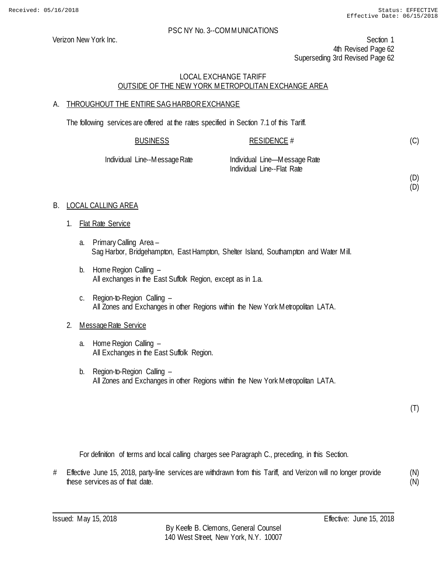(D) (D)

## PSC NY No. 3--COMMUNICATIONS

Verizon New York Inc. Section 1 4th Revised Page 62 Superseding 3rd Revised Page 62

# LOCAL EXCHANGE TARIFF OUTSIDE OF THE NEW YORK METROPOLITAN EXCHANGE AREA

# A. THROUGHOUT THE ENTIRE SAG HARBOR EXCHANGE

The following services are offered at the rates specified in Section 7.1 of this Tariff.

| <b>BUSINESS</b>      | RESIDENCE #                   |  |
|----------------------|-------------------------------|--|
|                      |                               |  |
| ateglane on Macantal | -Individual Line Maccana Rata |  |

Individual Line--Message Rate Individual Line—Message Rate Individual Line--Flat Rate

# B. LOCAL CALLING AREA

- 1. Flat Rate Service
	- a. Primary Calling Area Sag Harbor, Bridgehampton, East Hampton, Shelter Island, Southampton and Water Mill.
	- b. Home Region Calling All exchanges in the East Suffolk Region, except as in 1.a.
	- c. Region-to-Region Calling All Zones and Exchanges in other Regions within the New York Metropolitan LATA.

# 2. Message Rate Service

- a. Home Region Calling All Exchanges in the East Suffolk Region.
- b. Region-to-Region Calling All Zones and Exchanges in other Regions within the New York Metropolitan LATA.

(T)

For definition of terms and local calling charges see Paragraph C., preceding, in this Section.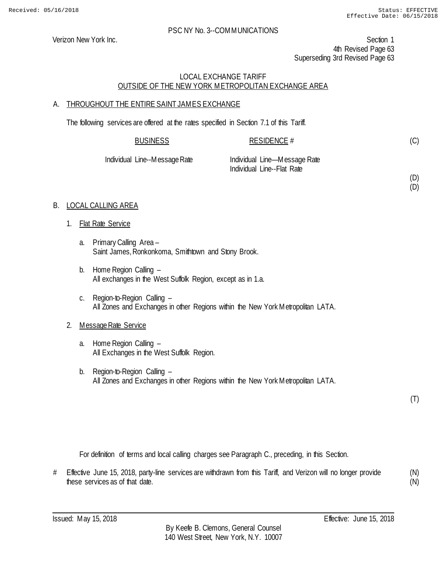(D) (D)

## PSC NY No. 3--COMMUNICATIONS

Verizon New York Inc. Section 1 4th Revised Page 63 Superseding 3rd Revised Page 63

# LOCAL EXCHANGE TARIFF OUTSIDE OF THE NEW YORK METROPOLITAN EXCHANGE AREA

# A. THROUGHOUT THE ENTIRE SAINT JAMES EXCHANGE

The following services are offered at the rates specified in Section 7.1 of this Tariff.

| <b>BUSINESS</b>               | RESIDENCE #                  |
|-------------------------------|------------------------------|
| Individual Line--Message Rate | Individual Line—Message Rate |
|                               | Individual Line--Flat Rate   |

# B. LOCAL CALLING AREA

- 1. Flat Rate Service
	- a. Primary Calling Area Saint James, Ronkonkoma, Smithtown and Stony Brook.
	- b. Home Region Calling All exchanges in the West Suffolk Region, except as in 1.a.
	- c. Region-to-Region Calling All Zones and Exchanges in other Regions within the New York Metropolitan LATA.

# 2. Message Rate Service

- a. Home Region Calling All Exchanges in the West Suffolk Region.
- b. Region-to-Region Calling All Zones and Exchanges in other Regions within the New York Metropolitan LATA.

(T)

For definition of terms and local calling charges see Paragraph C., preceding, in this Section.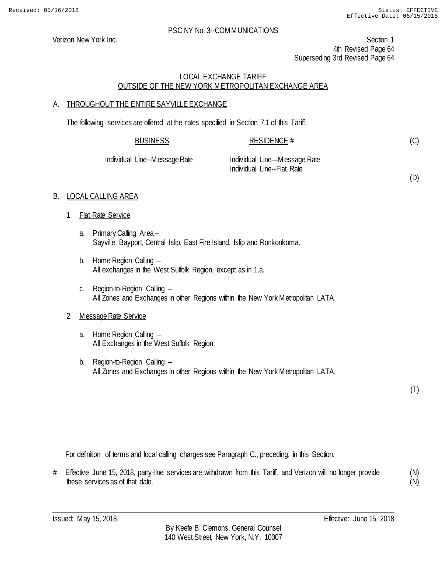(D)

## PSC NY No. 3--COMMUNICATIONS

Verizon New York Inc. Section 1 4th Revised Page 64 Superseding 3rd Revised Page 64

# LOCAL EXCHANGE TARIFF OUTSIDE OF THE NEW YORK METROPOLITAN EXCHANGE AREA

# A. THROUGHOUT THE ENTIRE SAYVILLE EXCHANGE

The following services are offered at the rates specified in Section 7.1 of this Tariff.

| <b>BUSINESS</b>               | RESIDENCE #                                                |
|-------------------------------|------------------------------------------------------------|
| Individual Line--Message Rate | Individual Line—Message Rate<br>Individual Line--Flat Rate |

# B. LOCAL CALLING AREA

- 1. Flat Rate Service
	- a. Primary Calling Area Sayville, Bayport, Central Islip, East Fire Island, Islip and Ronkonkoma.
	- b. Home Region Calling All exchanges in the West Suffolk Region, except as in 1.a.
	- c. Region-to-Region Calling All Zones and Exchanges in other Regions within the New York Metropolitan LATA.

# 2. Message Rate Service

- a. Home Region Calling All Exchanges in the West Suffolk Region.
- b. Region-to-Region Calling All Zones and Exchanges in other Regions within the New York Metropolitan LATA.

(T)

For definition of terms and local calling charges see Paragraph C., preceding, in this Section.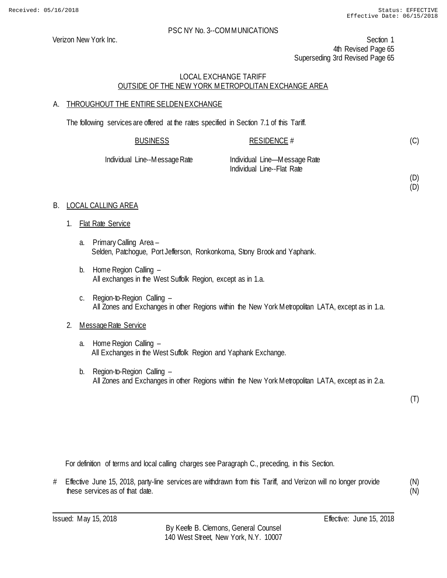(D) (D)

## PSC NY No. 3--COMMUNICATIONS

Verizon New York Inc. Section 1 4th Revised Page 65 Superseding 3rd Revised Page 65

# LOCAL EXCHANGE TARIFF OUTSIDE OF THE NEW YORK METROPOLITAN EXCHANGE AREA

# A. THROUGHOUT THE ENTIRE SELDENEXCHANGE

The following services are offered at the rates specified in Section 7.1 of this Tariff.

| <b>BUSINESS</b>    | <b>RESIDENCE #</b>                                         |
|--------------------|------------------------------------------------------------|
| Line--Message Rate | Individual Line—Message Rate<br>Individual Line--Flat Rate |

# B. LOCAL CALLING AREA

**Individual** 

- 1. Flat Rate Service
	- a. Primary Calling Area Selden, Patchogue, Port Jefferson, Ronkonkoma, Stony Brook and Yaphank.
	- b. Home Region Calling All exchanges in the West Suffolk Region, except as in 1.a.
	- c. Region-to-Region Calling All Zones and Exchanges in other Regions within the New York Metropolitan LATA, except as in 1.a.

# 2. Message Rate Service

- a. Home Region Calling All Exchanges in the West Suffolk Region and Yaphank Exchange.
- b. Region-to-Region Calling All Zones and Exchanges in other Regions within the New York Metropolitan LATA, except as in 2.a.

(T)

For definition of terms and local calling charges see Paragraph C., preceding, in this Section.

# Effective June 15, 2018, party-line services are withdrawn from this Tariff, and Verizon will no longer provide these services as of that date.

(N) (N)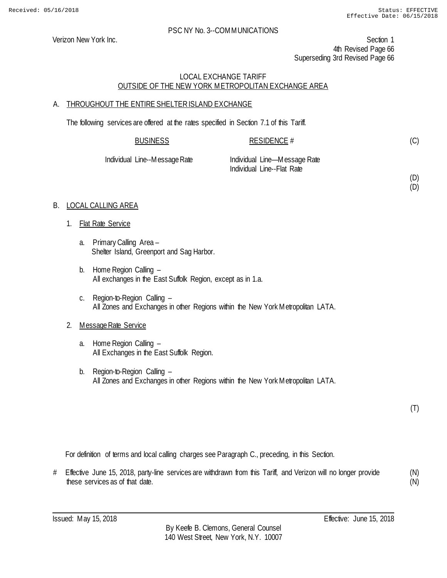Verizon New York Inc. Section 1 4th Revised Page 66 Superseding 3rd Revised Page 66

# LOCAL EXCHANGE TARIFF OUTSIDE OF THE NEW YORK METROPOLITAN EXCHANGE AREA

# A. THROUGHOUT THE ENTIRE SHELTER ISLAND EXCHANGE

The following services are offered at the rates specified in Section 7.1 of this Tariff.

| <b>BUSINESS</b>   | RESIDENCE $#$                |  |
|-------------------|------------------------------|--|
| Line Messega Deta | Individual Line Meccano Date |  |

Individual Line--Message Rate Individual Line—Message Rate Individual Line--Flat Rate

(D) (D)

(C)

# B. LOCAL CALLING AREA

- 1. Flat Rate Service
	- a. Primary Calling Area Shelter Island, Greenport and Sag Harbor.
	- b. Home Region Calling All exchanges in the East Suffolk Region, except as in 1.a.
	- c. Region-to-Region Calling All Zones and Exchanges in other Regions within the New York Metropolitan LATA.

# 2. Message Rate Service

- a. Home Region Calling All Exchanges in the East Suffolk Region.
- b. Region-to-Region Calling All Zones and Exchanges in other Regions within the New York Metropolitan LATA.

(T)

For definition of terms and local calling charges see Paragraph C., preceding, in this Section.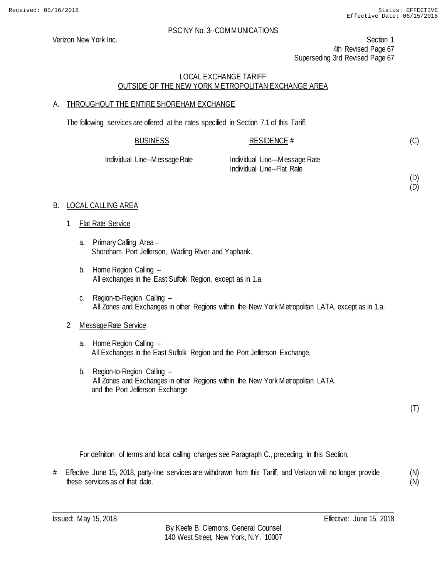(D) (D)

## PSC NY No. 3--COMMUNICATIONS

Verizon New York Inc. Section 1 4th Revised Page 67 Superseding 3rd Revised Page 67

# LOCAL EXCHANGE TARIFF OUTSIDE OF THE NEW YORK METROPOLITAN EXCHANGE AREA

# A. THROUGHOUT THE ENTIRE SHOREHAM EXCHANGE

The following services are offered at the rates specified in Section 7.1 of this Tariff.

| <b>BUSINESS</b>               | RESIDENCE #                                                |
|-------------------------------|------------------------------------------------------------|
| Individual Line--Message Rate | Individual Line—Message Rate<br>Individual Line--Flat Rate |

# B. LOCAL CALLING AREA

- 1. Flat Rate Service
	- a. Primary Calling Area Shoreham, Port Jefferson, Wading River and Yaphank.
	- b. Home Region Calling All exchanges in the East Suffolk Region, except as in 1.a.
	- c. Region-to-Region Calling All Zones and Exchanges in other Regions within the New York Metropolitan LATA, except as in 1.a.

# 2. Message Rate Service

- a. Home Region Calling All Exchanges in the East Suffolk Region and the Port Jefferson Exchange.
- b. Region-to-Region Calling All Zones and Exchanges in other Regions within the New York Metropolitan LATA. and the Port Jefferson Exchange

(T)

For definition of terms and local calling charges see Paragraph C., preceding, in this Section.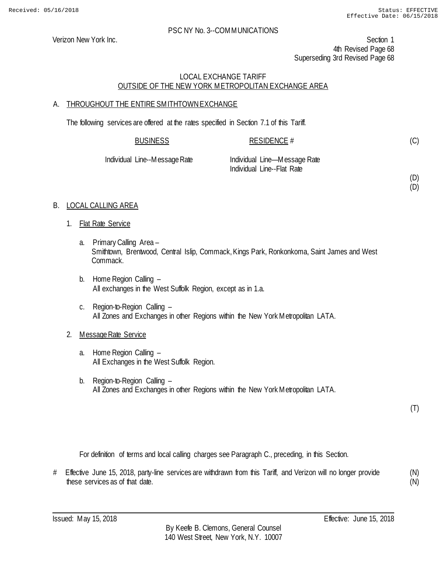Verizon New York Inc. Section 1 4th Revised Page 68 Superseding 3rd Revised Page 68

# LOCAL EXCHANGE TARIFF OUTSIDE OF THE NEW YORK METROPOLITAN EXCHANGE AREA

# A. THROUGHOUT THE ENTIRE SMITHTOWN EXCHANGE

The following services are offered at the rates specified in Section 7.1 of this Tariff.

| <b>BUSINESS</b>               | RESIDENCE #                  |  |
|-------------------------------|------------------------------|--|
| Individual Line--Message Rate | Individual Line-Message Rate |  |

Individual Line--Flat Rate

(D)

(C)

(D)

# B. LOCAL CALLING AREA

- 1. Flat Rate Service
	- a. Primary Calling Area Smithtown, Brentwood, Central Islip, Commack, Kings Park, Ronkonkoma, Saint James and West Commack.
	- b. Home Region Calling All exchanges in the West Suffolk Region, except as in 1.a.
	- c. Region-to-Region Calling All Zones and Exchanges in other Regions within the New York Metropolitan LATA.

# 2. Message Rate Service

- a. Home Region Calling All Exchanges in the West Suffolk Region.
- b. Region-to-Region Calling All Zones and Exchanges in other Regions within the New York Metropolitan LATA.

(T)

For definition of terms and local calling charges see Paragraph C., preceding, in this Section.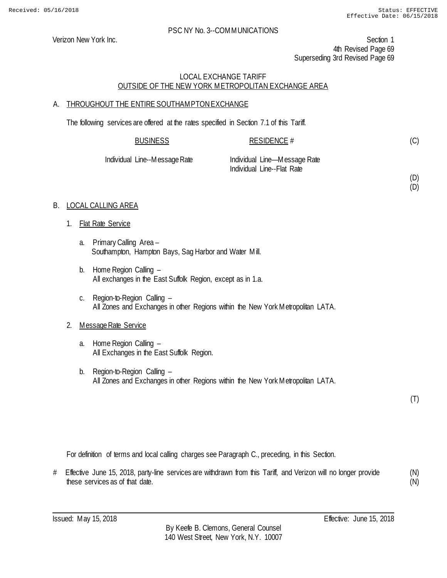(D) (D)

## PSC NY No. 3--COMMUNICATIONS

Verizon New York Inc. Section 1 4th Revised Page 69 Superseding 3rd Revised Page 69

# LOCAL EXCHANGE TARIFF OUTSIDE OF THE NEW YORK METROPOLITAN EXCHANGE AREA

# A. THROUGHOUT THE ENTIRE SOUTHAMPTONEXCHANGE

The following services are offered at the rates specified in Section 7.1 of this Tariff.

| <b>BUSINESS</b>               | RESIDENCE #                  |  |
|-------------------------------|------------------------------|--|
| Individual Line--Message Rate | Individual Line—Message Rate |  |
|                               | Individual Line--Flat Rate   |  |

# B. LOCAL CALLING AREA

- 1. Flat Rate Service
	- a. Primary Calling Area Southampton, Hampton Bays, Sag Harbor and Water Mill.
	- b. Home Region Calling All exchanges in the East Suffolk Region, except as in 1.a.
	- c. Region-to-Region Calling All Zones and Exchanges in other Regions within the New York Metropolitan LATA.

# 2. Message Rate Service

- a. Home Region Calling All Exchanges in the East Suffolk Region.
- b. Region-to-Region Calling All Zones and Exchanges in other Regions within the New York Metropolitan LATA.

(T)

For definition of terms and local calling charges see Paragraph C., preceding, in this Section.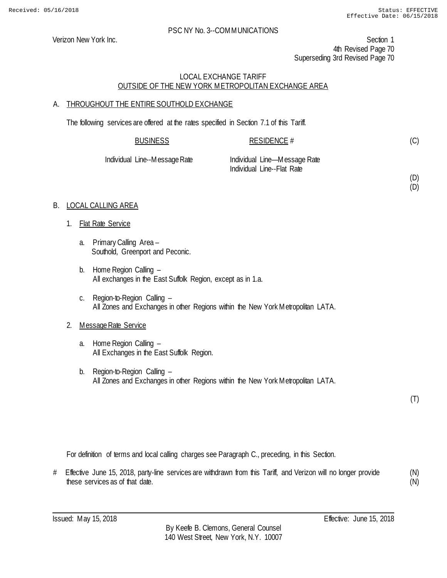(D) (D)

## PSC NY No. 3--COMMUNICATIONS

Verizon New York Inc. Section 1 4th Revised Page 70 Superseding 3rd Revised Page 70

# LOCAL EXCHANGE TARIFF OUTSIDE OF THE NEW YORK METROPOLITAN EXCHANGE AREA

# A. THROUGHOUT THE ENTIRE SOUTHOLD EXCHANGE

The following services are offered at the rates specified in Section 7.1 of this Tariff.

| <b>BUSINESS</b>               | RESIDENCE #                                                |
|-------------------------------|------------------------------------------------------------|
| Individual Line--Message Rate | Individual Line—Message Rate<br>Individual Line--Flat Rate |

# B. LOCAL CALLING AREA

- 1. Flat Rate Service
	- a. Primary Calling Area Southold, Greenport and Peconic.
	- b. Home Region Calling All exchanges in the East Suffolk Region, except as in 1.a.
	- c. Region-to-Region Calling All Zones and Exchanges in other Regions within the New York Metropolitan LATA.

# 2. Message Rate Service

- a. Home Region Calling All Exchanges in the East Suffolk Region.
- b. Region-to-Region Calling All Zones and Exchanges in other Regions within the New York Metropolitan LATA.

(T)

For definition of terms and local calling charges see Paragraph C., preceding, in this Section.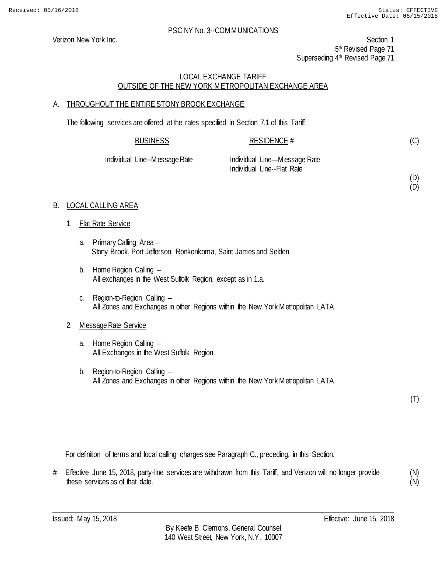(D) (D)

## PSC NY No. 3--COMMUNICATIONS

Verizon New York Inc. Section 1 5<sup>th</sup> Revised Page 71 Superseding 4<sup>th</sup> Revised Page 71

# LOCAL EXCHANGE TARIFF OUTSIDE OF THE NEW YORK METROPOLITAN EXCHANGE AREA

# A. THROUGHOUT THE ENTIRE STONY BROOK EXCHANGE

The following services are offered at the rates specified in Section 7.1 of this Tariff.

| <b>BUSINESS</b>               | RESIDENCE #                  |
|-------------------------------|------------------------------|
| Individual Line--Message Rate | Individual Line—Message Rate |
|                               | Individual Line--Flat Rate   |

# B. LOCAL CALLING AREA

- 1. Flat Rate Service
	- a. Primary Calling Area Stony Brook, Port Jefferson, Ronkonkoma, Saint James and Selden.
	- b. Home Region Calling All exchanges in the West Suffolk Region, except as in 1.a.
	- c. Region-to-Region Calling All Zones and Exchanges in other Regions within the New York Metropolitan LATA.

# 2. Message Rate Service

- a. Home Region Calling All Exchanges in the West Suffolk Region.
- b. Region-to-Region Calling All Zones and Exchanges in other Regions within the New York Metropolitan LATA.

(T)

For definition of terms and local calling charges see Paragraph C., preceding, in this Section.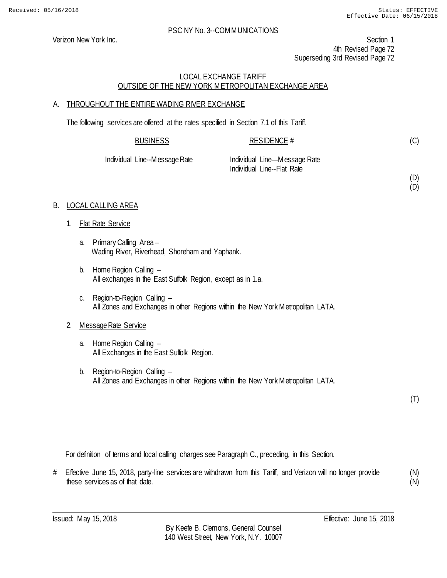(D) (D)

## PSC NY No. 3--COMMUNICATIONS

Verizon New York Inc. Section 1 4th Revised Page 72 Superseding 3rd Revised Page 72

# LOCAL EXCHANGE TARIFF OUTSIDE OF THE NEW YORK METROPOLITAN EXCHANGE AREA

# A. THROUGHOUT THE ENTIRE WADING RIVER EXCHANGE

The following services are offered at the rates specified in Section 7.1 of this Tariff.

| <b>BUSINESS</b>               | RESIDENCE #                                                |
|-------------------------------|------------------------------------------------------------|
| Individual Line--Message Rate | Individual Line—Message Rate<br>Individual Line--Flat Rate |

# B. LOCAL CALLING AREA

- 1. Flat Rate Service
	- a. Primary Calling Area Wading River, Riverhead, Shoreham and Yaphank.
	- b. Home Region Calling All exchanges in the East Suffolk Region, except as in 1.a.
	- c. Region-to-Region Calling All Zones and Exchanges in other Regions within the New York Metropolitan LATA.

# 2. Message Rate Service

- a. Home Region Calling All Exchanges in the East Suffolk Region.
- b. Region-to-Region Calling All Zones and Exchanges in other Regions within the New York Metropolitan LATA.

(T)

For definition of terms and local calling charges see Paragraph C., preceding, in this Section.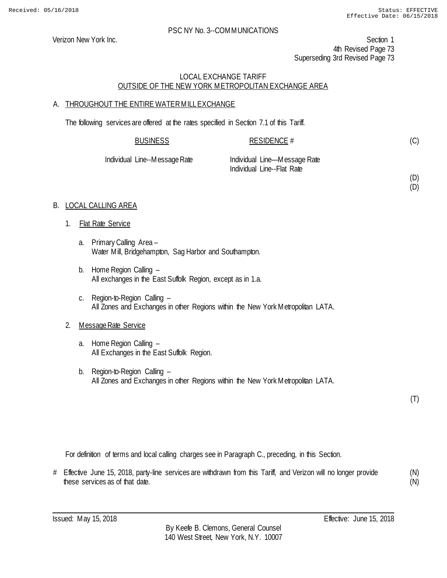#### PSC NY No. 3--COMMUNICATIONS

Verizon New York Inc. Section 1 4th Revised Page 73 Superseding 3rd Revised Page 73

### LOCAL EXCHANGE TARIFF OUTSIDE OF THE NEW YORK METROPOLITAN EXCHANGE AREA

### A. THROUGHOUT THE ENTIRE WATER MILL EXCHANGE

The following services are offered at the rates specified in Section 7.1 of this Tariff.

| <b>BUSINESS</b>               | RESIDENCE $#$                |
|-------------------------------|------------------------------|
| Individual Line--Message Rate | Individual Line—Message Rate |

Individual Line--Flat Rate

(D) (D)

(C)

### B. LOCAL CALLING AREA

- 1. Flat Rate Service
	- a. Primary Calling Area Water Mill, Bridgehampton, Sag Harbor and Southampton.
	- b. Home Region Calling All exchanges in the East Suffolk Region, except as in 1.a.
	- c. Region-to-Region Calling All Zones and Exchanges in other Regions within the New York Metropolitan LATA.

#### 2. Message Rate Service

- a. Home Region Calling All Exchanges in the East Suffolk Region.
- b. Region-to-Region Calling All Zones and Exchanges in other Regions within the New York Metropolitan LATA.

(T)

For definition of terms and local calling charges see in Paragraph C., preceding, in this Section.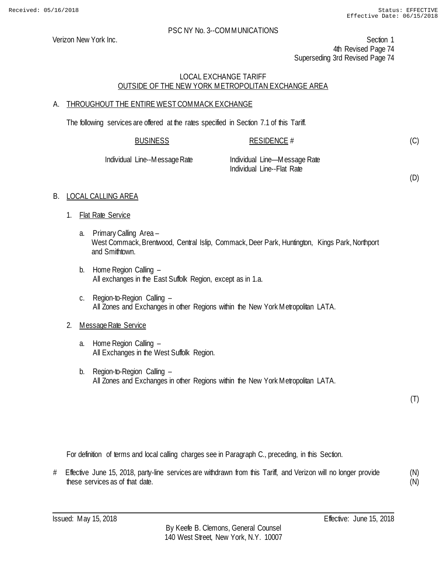#### PSC NY No. 3--COMMUNICATIONS

Verizon New York Inc. Section 1 4th Revised Page 74 Superseding 3rd Revised Page 74

### LOCAL EXCHANGE TARIFF OUTSIDE OF THE NEW YORK METROPOLITAN EXCHANGE AREA

### A. THROUGHOUT THE ENTIRE WEST COMMACK EXCHANGE

The following services are offered at the rates specified in Section 7.1 of this Tariff.

| <b>BUSINESS</b> | <b>RESIDENCE #</b> |
|-----------------|--------------------|
|                 |                    |

Individual Line--Message Rate Individual Line—Message Rate Individual Line--Flat Rate

(D)

(C)

# B. LOCAL CALLING AREA

- 1. Flat Rate Service
	- a. Primary Calling Area West Commack, Brentwood, Central Islip, Commack, Deer Park, Huntington, Kings Park, Northport and Smithtown.
	- b. Home Region Calling All exchanges in the East Suffolk Region, except as in 1.a.
	- c. Region-to-Region Calling All Zones and Exchanges in other Regions within the New York Metropolitan LATA.

# 2. Message Rate Service

- a. Home Region Calling All Exchanges in the West Suffolk Region.
- b. Region-to-Region Calling All Zones and Exchanges in other Regions within the New York Metropolitan LATA.

(T)

For definition of terms and local calling charges see in Paragraph C., preceding, in this Section.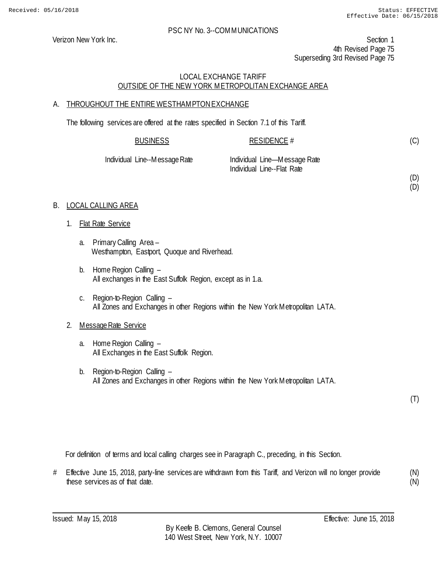(C)

(D) (D)

#### PSC NY No. 3--COMMUNICATIONS

Verizon New York Inc. Section 1 4th Revised Page 75 Superseding 3rd Revised Page 75

### LOCAL EXCHANGE TARIFF OUTSIDE OF THE NEW YORK METROPOLITAN EXCHANGE AREA

# A. THROUGHOUT THE ENTIRE WESTHAMPTONEXCHANGE

The following services are offered at the rates specified in Section 7.1 of this Tariff.

| <b>BUSINESS</b>               | RESIDENCE #                  |  |
|-------------------------------|------------------------------|--|
| Individual Line--Message Rate | Individual Line—Message Rate |  |
|                               | Individual Line--Flat Rate   |  |

### B. LOCAL CALLING AREA

- 1. Flat Rate Service
	- a. Primary Calling Area Westhampton, Eastport, Quoque and Riverhead.
	- b. Home Region Calling All exchanges in the East Suffolk Region, except as in 1.a.
	- c. Region-to-Region Calling All Zones and Exchanges in other Regions within the New York Metropolitan LATA.

### 2. Message Rate Service

- a. Home Region Calling All Exchanges in the East Suffolk Region.
- b. Region-to-Region Calling All Zones and Exchanges in other Regions within the New York Metropolitan LATA.

(T)

For definition of terms and local calling charges see in Paragraph C., preceding, in this Section.